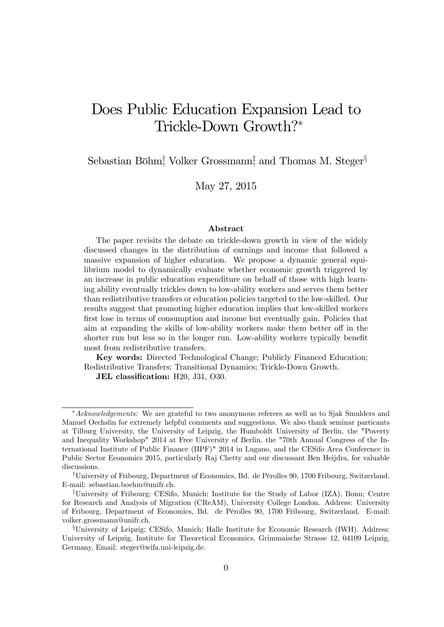# Does Public Education Expansion Lead to Trickle-Down Growth?<sup>∗</sup>

Sebastian Böhm<sup>†</sup>, Volker Grossmann<sup>‡</sup> and Thomas M. Steger<sup>§</sup>

May 27, 2015

#### Abstract

The paper revisits the debate on trickle-down growth in view of the widely discussed changes in the distribution of earnings and income that followed a massive expansion of higher education. We propose a dynamic general equilibrium model to dynamically evaluate whether economic growth triggered by an increase in public education expenditure on behalf of those with high learning ability eventually trickles down to low-ability workers and serves them better than redistributive transfers or education policies targeted to the low-skilled. Our results suggest that promoting higher education implies that low-skilled workers first lose in terms of consumption and income but eventually gain. Policies that aim at expanding the skills of low-ability workers make them better off in the shorter run but less so in the longer run. Low-ability workers typically benefit most from redistributive transfers.

Key words: Directed Technological Change; Publicly Financed Education; Redistributive Transfers; Transitional Dynamics; Trickle-Down Growth.

JEL classification: H20, J31, O30.

<sup>∗</sup>Acknowledgements: We are grateful to two anonymous referees as well as to Sjak Smulders and Manuel Oechslin for extremely helpful comments and suggestions. We also thank seminar particants at Tilburg University, the University of Leipzig, the Humboldt University of Berlin, the "Poverty and Inequality Workshop" 2014 at Free University of Berlin, the "70th Annual Congress of the International Institute of Public Finance (IIPF)" 2014 in Lugano, and the CESifo Area Conference in Public Sector Economics 2015, particularly Raj Chetty and our discussant Ben Heijdra, for valuable discussions.

<sup>†</sup>University of Fribourg, Department of Economics, Bd. de Pérolles 90, 1700 Fribourg, Switzerland. E-mail: sebastian.boehm@unifr.ch.

<sup>‡</sup>University of Fribourg; CESifo, Munich; Institute for the Study of Labor (IZA), Bonn; Centre for Research and Analysis of Migration (CReAM), University College London. Address: University of Fribourg, Department of Economics, Bd. de Pérolles 90, 1700 Fribourg, Switzerland. E-mail: volker.grossmann@unifr.ch.

<sup>§</sup>University of Leipzig; CESifo, Munich; Halle Institute for Economic Research (IWH). Address: University of Leipzig, Institute for Theoretical Economics, Grimmaische Strasse 12, 04109 Leipzig, Germany, Email: steger@wifa.uni-leipzig.de.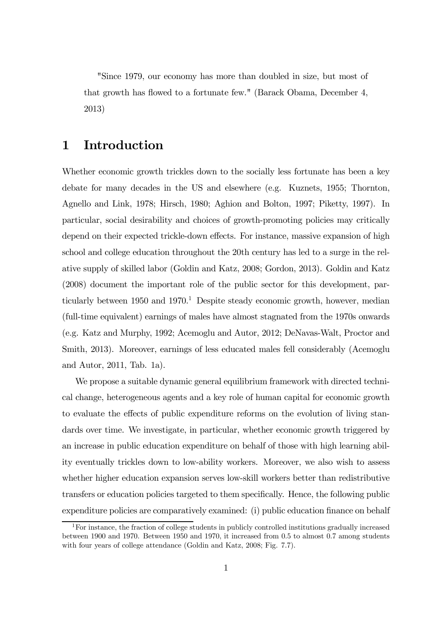"Since 1979, our economy has more than doubled in size, but most of that growth has flowed to a fortunate few." (Barack Obama, December 4, 2013)

### 1 Introduction

Whether economic growth trickles down to the socially less fortunate has been a key debate for many decades in the US and elsewhere (e.g. Kuznets, 1955; Thornton, Agnello and Link, 1978; Hirsch, 1980; Aghion and Bolton, 1997; Piketty, 1997). In particular, social desirability and choices of growth-promoting policies may critically depend on their expected trickle-down effects. For instance, massive expansion of high school and college education throughout the 20th century has led to a surge in the relative supply of skilled labor (Goldin and Katz, 2008; Gordon, 2013). Goldin and Katz (2008) document the important role of the public sector for this development, particularly between  $1950$  and  $1970<sup>1</sup>$  Despite steady economic growth, however, median (full-time equivalent) earnings of males have almost stagnated from the 1970s onwards (e.g. Katz and Murphy, 1992; Acemoglu and Autor, 2012; DeNavas-Walt, Proctor and Smith, 2013). Moreover, earnings of less educated males fell considerably (Acemoglu and Autor, 2011, Tab. 1a).

We propose a suitable dynamic general equilibrium framework with directed technical change, heterogeneous agents and a key role of human capital for economic growth to evaluate the effects of public expenditure reforms on the evolution of living standards over time. We investigate, in particular, whether economic growth triggered by an increase in public education expenditure on behalf of those with high learning ability eventually trickles down to low-ability workers. Moreover, we also wish to assess whether higher education expansion serves low-skill workers better than redistributive transfers or education policies targeted to them specifically. Hence, the following public expenditure policies are comparatively examined: (i) public education finance on behalf

 $1$  For instance, the fraction of college students in publicly controlled institutions gradually increased between 1900 and 1970. Between 1950 and 1970, it increased from 0.5 to almost 0.7 among students with four years of college attendance (Goldin and Katz, 2008; Fig. 7.7).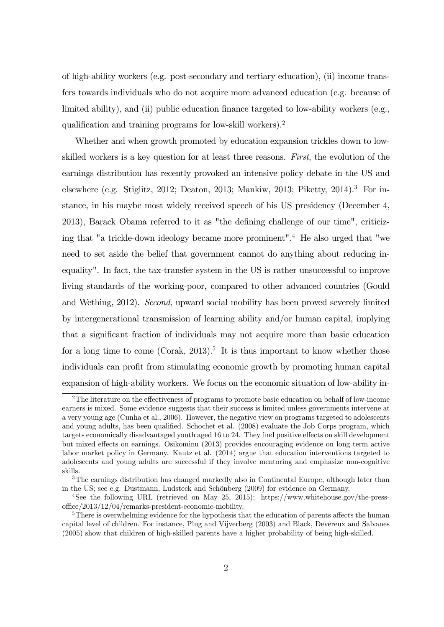of high-ability workers (e.g. post-secondary and tertiary education), (ii) income transfers towards individuals who do not acquire more advanced education (e.g. because of limited ability), and (ii) public education finance targeted to low-ability workers (e.g., qualification and training programs for low-skill workers).2

Whether and when growth promoted by education expansion trickles down to lowskilled workers is a key question for at least three reasons. First, the evolution of the earnings distribution has recently provoked an intensive policy debate in the US and elsewhere (e.g. Stiglitz, 2012; Deaton, 2013; Mankiw, 2013; Piketty, 2014).<sup>3</sup> For instance, in his maybe most widely received speech of his US presidency (December 4, 2013), Barack Obama referred to it as "the defining challenge of our time", criticizing that "a trickle-down ideology became more prominent".<sup>4</sup> He also urged that "we need to set aside the belief that government cannot do anything about reducing inequality". In fact, the tax-transfer system in the US is rather unsuccessful to improve living standards of the working-poor, compared to other advanced countries (Gould and Wething, 2012). Second, upward social mobility has been proved severely limited by intergenerational transmission of learning ability and/or human capital, implying that a significant fraction of individuals may not acquire more than basic education for a long time to come (Corak, 2013).<sup>5</sup> It is thus important to know whether those individuals can profit from stimulating economic growth by promoting human capital expansion of high-ability workers. We focus on the economic situation of low-ability in-

<sup>&</sup>lt;sup>2</sup>The literature on the effectiveness of programs to promote basic education on behalf of low-income earners is mixed. Some evidence suggests that their success is limited unless governments intervene at a very young age (Cunha et al., 2006). However, the negative view on programs targeted to adolescents and young adults, has been qualified. Schochet et al. (2008) evaluate the Job Corps program, which targets economically disadvantaged youth aged 16 to 24. They find positive effects on skill development but mixed effects on earnings. Osikominu (2013) provides encouraging evidence on long term active labor market policy in Germany. Kautz et al. (2014) argue that education interventions targeted to adolescents and young adults are successful if they involve mentoring and emphasize non-cognitive skills.

<sup>&</sup>lt;sup>3</sup>The earnings distribution has changed markedly also in Continental Europe, although later than in the US; see e.g. Dustmann, Ludsteck and Schönberg (2009) for evidence on Germany.

<sup>4</sup>See the following URL (retrieved on May 25, 2015): https://www.whitehouse.gov/the-pressoffice/2013/12/04/remarks-president-economic-mobility.

<sup>&</sup>lt;sup>5</sup>There is overwhelming evidence for the hypothesis that the education of parents affects the human capital level of children. For instance, Plug and Vijverberg (2003) and Black, Devereux and Salvanes (2005) show that children of high-skilled parents have a higher probability of being high-skilled.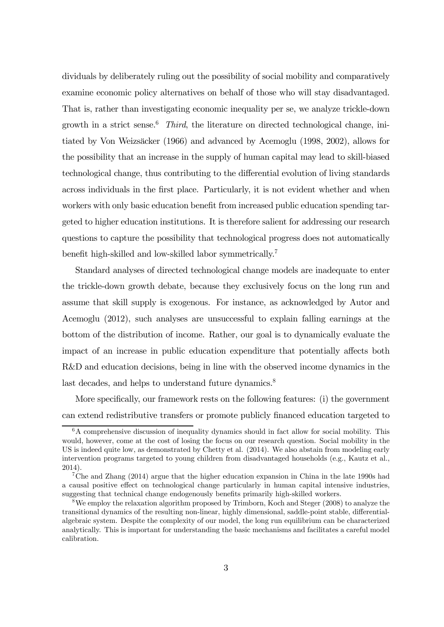dividuals by deliberately ruling out the possibility of social mobility and comparatively examine economic policy alternatives on behalf of those who will stay disadvantaged. That is, rather than investigating economic inequality per se, we analyze trickle-down growth in a strict sense.<sup>6</sup> Third, the literature on directed technological change, initiated by Von Weizsäcker (1966) and advanced by Acemoglu (1998, 2002), allows for the possibility that an increase in the supply of human capital may lead to skill-biased technological change, thus contributing to the differential evolution of living standards across individuals in the first place. Particularly, it is not evident whether and when workers with only basic education benefit from increased public education spending targeted to higher education institutions. It is therefore salient for addressing our research questions to capture the possibility that technological progress does not automatically benefit high-skilled and low-skilled labor symmetrically.7

Standard analyses of directed technological change models are inadequate to enter the trickle-down growth debate, because they exclusively focus on the long run and assume that skill supply is exogenous. For instance, as acknowledged by Autor and Acemoglu (2012), such analyses are unsuccessful to explain falling earnings at the bottom of the distribution of income. Rather, our goal is to dynamically evaluate the impact of an increase in public education expenditure that potentially affects both R&D and education decisions, being in line with the observed income dynamics in the last decades, and helps to understand future dynamics.<sup>8</sup>

More specifically, our framework rests on the following features: (i) the government can extend redistributive transfers or promote publicly financed education targeted to

<sup>&</sup>lt;sup>6</sup>A comprehensive discussion of inequality dynamics should in fact allow for social mobility. This would, however, come at the cost of losing the focus on our research question. Social mobility in the US is indeed quite low, as demonstrated by Chetty et al. (2014). We also abstain from modeling early intervention programs targeted to young children from disadvantaged households (e.g., Kautz et al., 2014).

<sup>7</sup>Che and Zhang (2014) argue that the higher education expansion in China in the late 1990s had a causal positive effect on technological change particularly in human capital intensive industries, suggesting that technical change endogenously benefits primarily high-skilled workers.

<sup>8</sup>We employ the relaxation algorithm proposed by Trimborn, Koch and Steger (2008) to analyze the transitional dynamics of the resulting non-linear, highly dimensional, saddle-point stable, differentialalgebraic system. Despite the complexity of our model, the long run equilibrium can be characterized analytically. This is important for understanding the basic mechanisms and facilitates a careful model calibration.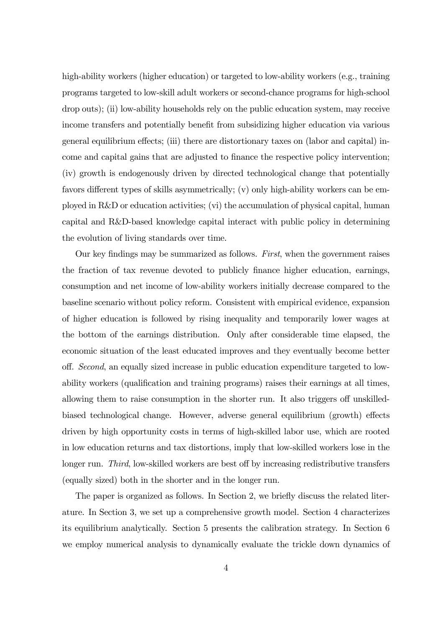high-ability workers (higher education) or targeted to low-ability workers (e.g., training programs targeted to low-skill adult workers or second-chance programs for high-school drop outs); (ii) low-ability households rely on the public education system, may receive income transfers and potentially benefit from subsidizing higher education via various general equilibrium effects; (iii) there are distortionary taxes on (labor and capital) income and capital gains that are adjusted to finance the respective policy intervention; (iv) growth is endogenously driven by directed technological change that potentially favors different types of skills asymmetrically; (v) only high-ability workers can be employed in R&D or education activities; (vi) the accumulation of physical capital, human capital and R&D-based knowledge capital interact with public policy in determining the evolution of living standards over time.

Our key findings may be summarized as follows. First, when the government raises the fraction of tax revenue devoted to publicly finance higher education, earnings, consumption and net income of low-ability workers initially decrease compared to the baseline scenario without policy reform. Consistent with empirical evidence, expansion of higher education is followed by rising inequality and temporarily lower wages at the bottom of the earnings distribution. Only after considerable time elapsed, the economic situation of the least educated improves and they eventually become better off. Second, an equally sized increase in public education expenditure targeted to lowability workers (qualification and training programs) raises their earnings at all times, allowing them to raise consumption in the shorter run. It also triggers off unskilledbiased technological change. However, adverse general equilibrium (growth) effects driven by high opportunity costs in terms of high-skilled labor use, which are rooted in low education returns and tax distortions, imply that low-skilled workers lose in the longer run. Third, low-skilled workers are best off by increasing redistributive transfers (equally sized) both in the shorter and in the longer run.

The paper is organized as follows. In Section 2, we briefly discuss the related literature. In Section 3, we set up a comprehensive growth model. Section 4 characterizes its equilibrium analytically. Section 5 presents the calibration strategy. In Section 6 we employ numerical analysis to dynamically evaluate the trickle down dynamics of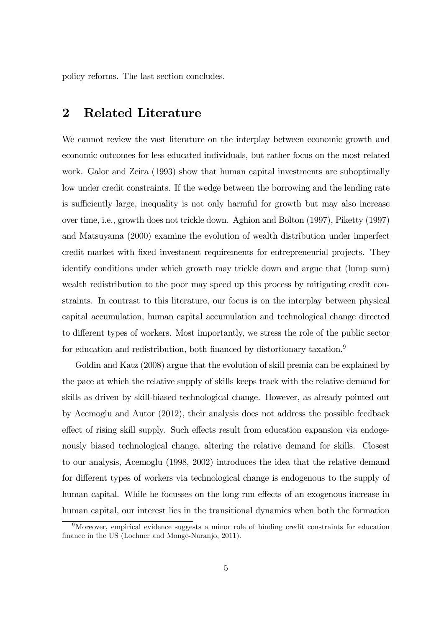policy reforms. The last section concludes.

### 2 Related Literature

We cannot review the vast literature on the interplay between economic growth and economic outcomes for less educated individuals, but rather focus on the most related work. Galor and Zeira (1993) show that human capital investments are suboptimally low under credit constraints. If the wedge between the borrowing and the lending rate is sufficiently large, inequality is not only harmful for growth but may also increase over time, i.e., growth does not trickle down. Aghion and Bolton (1997), Piketty (1997) and Matsuyama (2000) examine the evolution of wealth distribution under imperfect credit market with fixed investment requirements for entrepreneurial projects. They identify conditions under which growth may trickle down and argue that (lump sum) wealth redistribution to the poor may speed up this process by mitigating credit constraints. In contrast to this literature, our focus is on the interplay between physical capital accumulation, human capital accumulation and technological change directed to different types of workers. Most importantly, we stress the role of the public sector for education and redistribution, both financed by distortionary taxation.<sup>9</sup>

Goldin and Katz (2008) argue that the evolution of skill premia can be explained by the pace at which the relative supply of skills keeps track with the relative demand for skills as driven by skill-biased technological change. However, as already pointed out by Acemoglu and Autor (2012), their analysis does not address the possible feedback effect of rising skill supply. Such effects result from education expansion via endogenously biased technological change, altering the relative demand for skills. Closest to our analysis, Acemoglu (1998, 2002) introduces the idea that the relative demand for different types of workers via technological change is endogenous to the supply of human capital. While he focusses on the long run effects of an exogenous increase in human capital, our interest lies in the transitional dynamics when both the formation

<sup>9</sup>Moreover, empirical evidence suggests a minor role of binding credit constraints for education finance in the US (Lochner and Monge-Naranjo, 2011).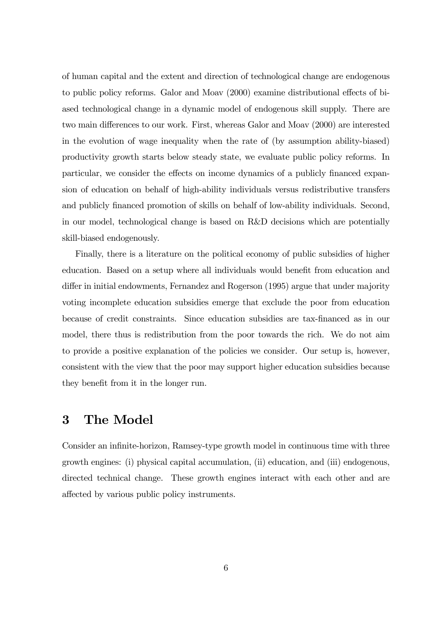of human capital and the extent and direction of technological change are endogenous to public policy reforms. Galor and Moav (2000) examine distributional effects of biased technological change in a dynamic model of endogenous skill supply. There are two main differences to our work. First, whereas Galor and Moav (2000) are interested in the evolution of wage inequality when the rate of (by assumption ability-biased) productivity growth starts below steady state, we evaluate public policy reforms. In particular, we consider the effects on income dynamics of a publicly financed expansion of education on behalf of high-ability individuals versus redistributive transfers and publicly financed promotion of skills on behalf of low-ability individuals. Second, in our model, technological change is based on R&D decisions which are potentially skill-biased endogenously.

Finally, there is a literature on the political economy of public subsidies of higher education. Based on a setup where all individuals would benefit from education and differ in initial endowments, Fernandez and Rogerson (1995) argue that under majority voting incomplete education subsidies emerge that exclude the poor from education because of credit constraints. Since education subsidies are tax-financed as in our model, there thus is redistribution from the poor towards the rich. We do not aim to provide a positive explanation of the policies we consider. Our setup is, however, consistent with the view that the poor may support higher education subsidies because they benefit from it in the longer run.

### 3 The Model

Consider an infinite-horizon, Ramsey-type growth model in continuous time with three growth engines: (i) physical capital accumulation, (ii) education, and (iii) endogenous, directed technical change. These growth engines interact with each other and are affected by various public policy instruments.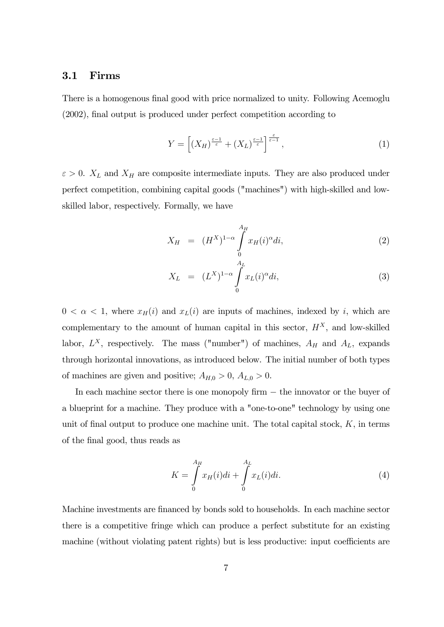#### 3.1 Firms

There is a homogenous final good with price normalized to unity. Following Acemoglu (2002), final output is produced under perfect competition according to

$$
Y = \left[ \left( X_H \right)^{\frac{\varepsilon - 1}{\varepsilon}} + \left( X_L \right)^{\frac{\varepsilon - 1}{\varepsilon}} \right]^{\frac{\varepsilon}{\varepsilon - 1}},\tag{1}
$$

 $\varepsilon > 0$ .  $X_L$  and  $X_H$  are composite intermediate inputs. They are also produced under perfect competition, combining capital goods ("machines") with high-skilled and lowskilled labor, respectively. Formally, we have

$$
X_H = (H^X)^{1-\alpha} \int_{0}^{A_H} x_H(i)^{\alpha} di,
$$
 (2)

$$
X_L = (L^X)^{1-\alpha} \int_0^{A_L} x_L(i)^{\alpha} di,
$$
\n(3)

 $0 < \alpha < 1$ , where  $x_H(i)$  and  $x_L(i)$  are inputs of machines, indexed by i, which are complementary to the amount of human capital in this sector,  $H^X$ , and low-skilled labor,  $L^X$ , respectively. The mass ("number") of machines,  $A_H$  and  $A_L$ , expands through horizontal innovations, as introduced below. The initial number of both types of machines are given and positive;  $A_{H,0} > 0$ ,  $A_{L,0} > 0$ .

In each machine sector there is one monopoly firm − the innovator or the buyer of a blueprint for a machine. They produce with a "one-to-one" technology by using one unit of final output to produce one machine unit. The total capital stock,  $K$ , in terms of the final good, thus reads as

$$
K = \int_{0}^{A_{H}} x_{H}(i)di + \int_{0}^{A_{L}} x_{L}(i)di.
$$
 (4)

Machine investments are financed by bonds sold to households. In each machine sector there is a competitive fringe which can produce a perfect substitute for an existing machine (without violating patent rights) but is less productive: input coefficients are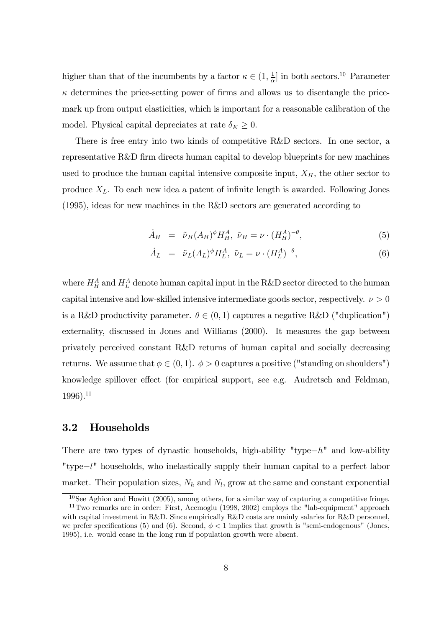higher than that of the incumbents by a factor  $\kappa \in (1, \frac{1}{\alpha}]$  in both sectors.<sup>10</sup> Parameter  $\kappa$  determines the price-setting power of firms and allows us to disentangle the pricemark up from output elasticities, which is important for a reasonable calibration of the model. Physical capital depreciates at rate  $\delta_K \geq 0$ .

There is free entry into two kinds of competitive R&D sectors. In one sector, a representative R&D firm directs human capital to develop blueprints for new machines used to produce the human capital intensive composite input,  $X_H$ , the other sector to produce  $X_L$ . To each new idea a patent of infinite length is awarded. Following Jones (1995), ideas for new machines in the R&D sectors are generated according to

$$
\dot{A}_H = \tilde{\nu}_H (A_H)^{\phi} H_H^A, \ \tilde{\nu}_H = \nu \cdot (H_H^A)^{-\theta}, \tag{5}
$$

$$
\dot{A}_L = \tilde{\nu}_L (A_L)^{\phi} H_L^A, \ \tilde{\nu}_L = \nu \cdot (H_L^A)^{-\theta}, \tag{6}
$$

where  $H_H^A$  and  $H_L^A$  denote human capital input in the R&D sector directed to the human capital intensive and low-skilled intensive intermediate goods sector, respectively.  $\nu > 0$ is a R&D productivity parameter.  $\theta \in (0,1)$  captures a negative R&D ("duplication") externality, discussed in Jones and Williams (2000). It measures the gap between privately perceived constant R&D returns of human capital and socially decreasing returns. We assume that  $\phi \in (0,1)$ .  $\phi > 0$  captures a positive ("standing on shoulders") knowledge spillover effect (for empirical support, see e.g. Audretsch and Feldman,  $1996$ ).<sup>11</sup>

### 3.2 Households

There are two types of dynastic households, high-ability "type− $h$ " and low-ability "type−" households, who inelastically supply their human capital to a perfect labor market. Their population sizes,  $N_h$  and  $N_l$ , grow at the same and constant exponential

 $10$ See Aghion and Howitt (2005), among others, for a similar way of capturing a competitive fringe.

 $11$ Two remarks are in order: First, Acemoglu (1998, 2002) employs the "lab-equipment" approach with capital investment in R&D. Since empirically R&D costs are mainly salaries for R&D personnel, we prefer specifications (5) and (6). Second,  $\phi < 1$  implies that growth is "semi-endogenous" (Jones, 1995), i.e. would cease in the long run if population growth were absent.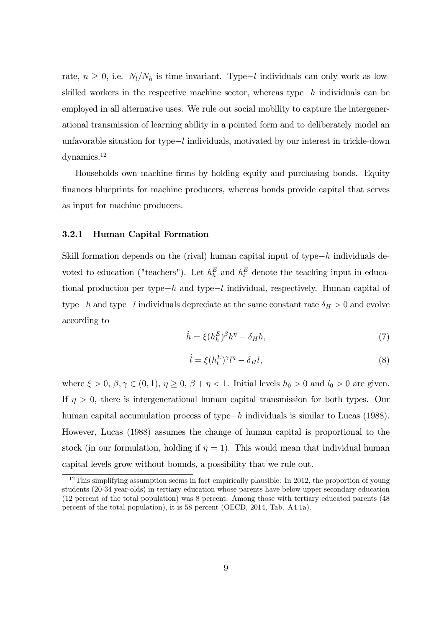rate,  $n \geq 0$ , i.e.  $N_l/N_h$  is time invariant. Type–l individuals can only work as lowskilled workers in the respective machine sector, whereas type− $h$  individuals can be employed in all alternative uses. We rule out social mobility to capture the intergenerational transmission of learning ability in a pointed form and to deliberately model an unfavorable situation for type−l individuals, motivated by our interest in trickle-down dynamics.12

Households own machine firms by holding equity and purchasing bonds. Equity finances blueprints for machine producers, whereas bonds provide capital that serves as input for machine producers.

#### 3.2.1 Human Capital Formation

Skill formation depends on the (rival) human capital input of type− $h$  individuals devoted to education ("teachers"). Let  $h_h^E$  and  $h_l^E$  denote the teaching input in educational production per type−h and type−l individual, respectively. Human capital of type−h and type−l individuals depreciate at the same constant rate  $\delta_H > 0$  and evolve according to

$$
\dot{h} = \xi (h_h^E)^{\beta} h^{\eta} - \delta_H h,\tag{7}
$$

$$
\dot{l} = \xi (h_l^E)^\gamma l^\eta - \delta_H l,\tag{8}
$$

where  $\xi > 0$ ,  $\beta, \gamma \in (0, 1)$ ,  $\eta \ge 0$ ,  $\beta + \eta < 1$ . Initial levels  $h_0 > 0$  and  $l_0 > 0$  are given. If  $\eta > 0$ , there is intergenerational human capital transmission for both types. Our human capital accumulation process of type $-h$  individuals is similar to Lucas (1988). However, Lucas (1988) assumes the change of human capital is proportional to the stock (in our formulation, holding if  $\eta = 1$ ). This would mean that individual human capital levels grow without bounds, a possibility that we rule out.

 $12$ This simplifying assumption seems in fact empirically plausible: In 2012, the proportion of young students (20-34 year-olds) in tertiary education whose parents have below upper secondary education (12 percent of the total population) was 8 percent. Among those with tertiary educated parents (48 percent of the total population), it is 58 percent (OECD, 2014, Tab. A4.1a).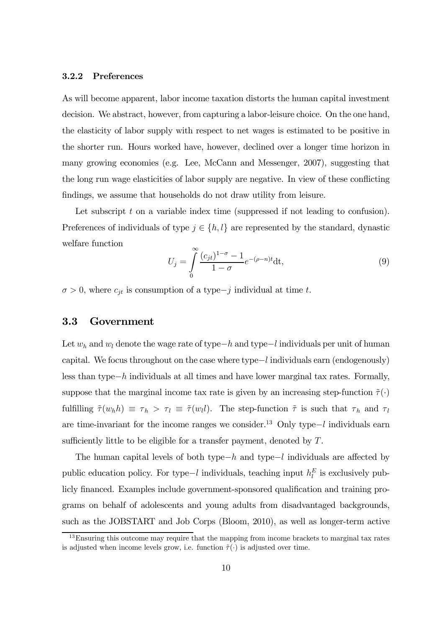#### 3.2.2 Preferences

As will become apparent, labor income taxation distorts the human capital investment decision. We abstract, however, from capturing a labor-leisure choice. On the one hand, the elasticity of labor supply with respect to net wages is estimated to be positive in the shorter run. Hours worked have, however, declined over a longer time horizon in many growing economies (e.g. Lee, McCann and Messenger, 2007), suggesting that the long run wage elasticities of labor supply are negative. In view of these conflicting findings, we assume that households do not draw utility from leisure.

Let subscript  $t$  on a variable index time (suppressed if not leading to confusion). Preferences of individuals of type  $j \in \{h, l\}$  are represented by the standard, dynastic welfare function

$$
U_j = \int_0^\infty \frac{(c_{jt})^{1-\sigma} - 1}{1 - \sigma} e^{-(\rho - n)t} dt,
$$
\n(9)

 $\sigma > 0$ , where  $c_{jt}$  is consumption of a type-j individual at time t.

### 3.3 Government

Let  $w_h$  and  $w_l$  denote the wage rate of type−h and type−l individuals per unit of human capital. We focus throughout on the case where type−l individuals earn (endogenously) less than type− individuals at all times and have lower marginal tax rates. Formally, suppose that the marginal income tax rate is given by an increasing step-function  $\tilde{\tau}(\cdot)$ fulfilling  $\tilde{\tau}(w_h h) \equiv \tau_h > \tau_l \equiv \tilde{\tau}(w_l l)$ . The step-function  $\tilde{\tau}$  is such that  $\tau_h$  and  $\tau_l$ are time-invariant for the income ranges we consider.<sup>13</sup> Only type– $l$  individuals earn sufficiently little to be eligible for a transfer payment, denoted by  $T$ .

The human capital levels of both type− $h$  and type− $l$  individuals are affected by public education policy. For type–l individuals, teaching input  $h_l^E$  is exclusively publicly financed. Examples include government-sponsored qualification and training programs on behalf of adolescents and young adults from disadvantaged backgrounds, such as the JOBSTART and Job Corps (Bloom, 2010), as well as longer-term active

<sup>&</sup>lt;sup>13</sup>Ensuring this outcome may require that the mapping from income brackets to marginal tax rates is adjusted when income levels grow, i.e. function  $\tilde{\tau}(\cdot)$  is adjusted over time.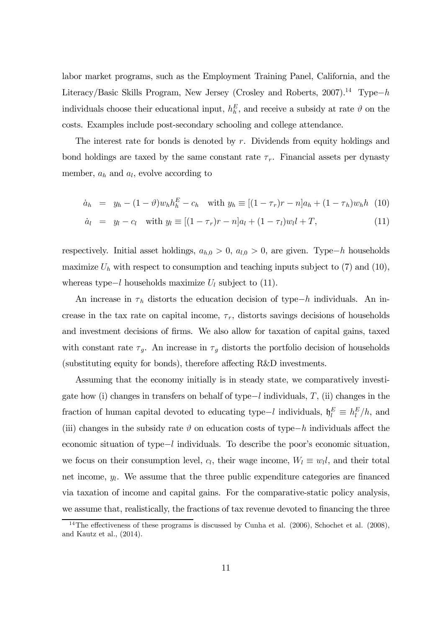labor market programs, such as the Employment Training Panel, California, and the Literacy/Basic Skills Program, New Jersey (Crosley and Roberts, 2007).<sup>14</sup> Type−h individuals choose their educational input,  $h_h^E$ , and receive a subsidy at rate  $\vartheta$  on the costs. Examples include post-secondary schooling and college attendance.

The interest rate for bonds is denoted by  $r$ . Dividends from equity holdings and bond holdings are taxed by the same constant rate  $\tau_r$ . Financial assets per dynasty member,  $a_h$  and  $a_l$ , evolve according to

$$
\dot{a}_h = y_h - (1 - \vartheta) w_h h_h^E - c_h \quad \text{with } y_h \equiv [(1 - \tau_r)r - n]a_h + (1 - \tau_h)w_h h \tag{10}
$$

$$
\dot{a}_l = y_l - c_l \quad \text{with } y_l \equiv [(1 - \tau_r)r - n]a_l + (1 - \tau_l)w_l l + T,
$$
\n(11)

respectively. Initial asset holdings,  $a_{h,0} > 0$ ,  $a_{l,0} > 0$ , are given. Type−h households maximize  $U_h$  with respect to consumption and teaching inputs subject to (7) and (10), whereas type $-l$  households maximize  $U_l$  subject to (11).

An increase in  $\tau_h$  distorts the education decision of type−h individuals. An increase in the tax rate on capital income,  $\tau_r$ , distorts savings decisions of households and investment decisions of firms. We also allow for taxation of capital gains, taxed with constant rate  $\tau_g$ . An increase in  $\tau_g$  distorts the portfolio decision of households (substituting equity for bonds), therefore affecting R&D investments.

Assuming that the economy initially is in steady state, we comparatively investigate how (i) changes in transfers on behalf of type−l individuals,  $T$ , (ii) changes in the fraction of human capital devoted to educating type–l individuals,  $\mathfrak{h}_l^E \equiv h_l^E/h$ , and (iii) changes in the subsidy rate  $\vartheta$  on education costs of type−h individuals affect the economic situation of type $-l$  individuals. To describe the poor's economic situation, we focus on their consumption level,  $c_l$ , their wage income,  $W_l \equiv w_l l$ , and their total net income,  $y_l$ . We assume that the three public expenditure categories are financed via taxation of income and capital gains. For the comparative-static policy analysis, we assume that, realistically, the fractions of tax revenue devoted to financing the three

<sup>&</sup>lt;sup>14</sup>The effectiveness of these programs is discussed by Cunha et al.  $(2006)$ , Schochet et al.  $(2008)$ , and Kautz et al., (2014).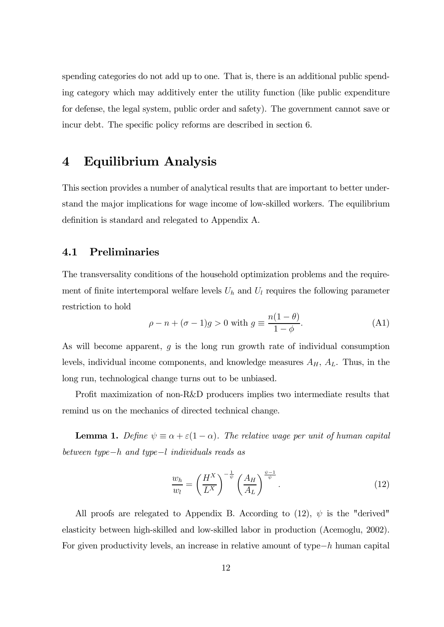spending categories do not add up to one. That is, there is an additional public spending category which may additively enter the utility function (like public expenditure for defense, the legal system, public order and safety). The government cannot save or incur debt. The specific policy reforms are described in section 6.

### 4 Equilibrium Analysis

This section provides a number of analytical results that are important to better understand the major implications for wage income of low-skilled workers. The equilibrium definition is standard and relegated to Appendix A.

### 4.1 Preliminaries

The transversality conditions of the household optimization problems and the requirement of finite intertemporal welfare levels  $U_h$  and  $U_l$  requires the following parameter restriction to hold

$$
\rho - n + (\sigma - 1)g > 0 \text{ with } g \equiv \frac{n(1 - \theta)}{1 - \phi}.
$$
 (A1)

As will become apparent,  $q$  is the long run growth rate of individual consumption levels, individual income components, and knowledge measures  $A_H$ ,  $A_L$ . Thus, in the long run, technological change turns out to be unbiased.

Profit maximization of non-R&D producers implies two intermediate results that remind us on the mechanics of directed technical change.

**Lemma 1.** Define  $\psi \equiv \alpha + \varepsilon(1 - \alpha)$ . The relative wage per unit of human capital between type $-h$  and type $-l$  individuals reads as

$$
\frac{w_h}{w_l} = \left(\frac{H^X}{L^X}\right)^{-\frac{1}{\psi}} \left(\frac{A_H}{A_L}\right)^{\frac{\psi-1}{\psi}}.\tag{12}
$$

All proofs are relegated to Appendix B. According to  $(12)$ ,  $\psi$  is the "derived" elasticity between high-skilled and low-skilled labor in production (Acemoglu, 2002). For given productivity levels, an increase in relative amount of type $-h$  human capital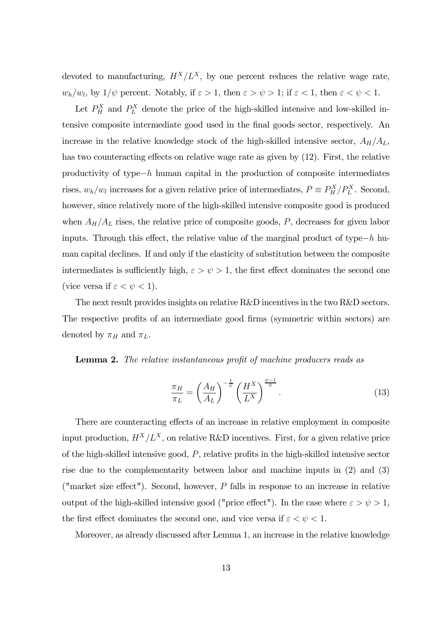devoted to manufacturing,  $H^X/L^X$ , by one percent reduces the relative wage rate,  $w_h/w_l$ , by  $1/\psi$  percent. Notably, if  $\varepsilon > 1$ , then  $\varepsilon > \psi > 1$ ; if  $\varepsilon < 1$ , then  $\varepsilon < \psi < 1$ .

Let  $P_H^X$  and  $P_L^X$  denote the price of the high-skilled intensive and low-skilled intensive composite intermediate good used in the final goods sector, respectively. An increase in the relative knowledge stock of the high-skilled intensive sector,  $A_H/A_L$ , has two counteracting effects on relative wage rate as given by (12). First, the relative productivity of type $-h$  human capital in the production of composite intermediates rises,  $w_h/w_l$  increases for a given relative price of intermediates,  $P \equiv P_H^X/P_L^X$ . Second, however, since relatively more of the high-skilled intensive composite good is produced when  $A_H/A_L$  rises, the relative price of composite goods, P, decreases for given labor inputs. Through this effect, the relative value of the marginal product of type−h human capital declines. If and only if the elasticity of substitution between the composite intermediates is sufficiently high,  $\varepsilon > \psi > 1$ , the first effect dominates the second one (vice versa if  $\varepsilon < \psi < 1$ ).

The next result provides insights on relative R&D incentives in the two R&D sectors. The respective profits of an intermediate good firms (symmetric within sectors) are denoted by  $\pi_H$  and  $\pi_L$ .

#### Lemma 2. The relative instantaneous profit of machine producers reads as

$$
\frac{\pi_H}{\pi_L} = \left(\frac{A_H}{A_L}\right)^{-\frac{1}{\psi}} \left(\frac{H^X}{L^X}\right)^{\frac{\psi-1}{\psi}}.\tag{13}
$$

There are counteracting effects of an increase in relative employment in composite input production,  $H^X/L^X$ , on relative R&D incentives. First, for a given relative price of the high-skilled intensive good,  $P$ , relative profits in the high-skilled intensive sector rise due to the complementarity between labor and machine inputs in (2) and (3) ("market size effect"). Second, however,  $P$  falls in response to an increase in relative output of the high-skilled intensive good ("price effect"). In the case where  $\varepsilon > \psi > 1$ , the first effect dominates the second one, and vice versa if  $\varepsilon < \psi < 1$ .

Moreover, as already discussed after Lemma 1, an increase in the relative knowledge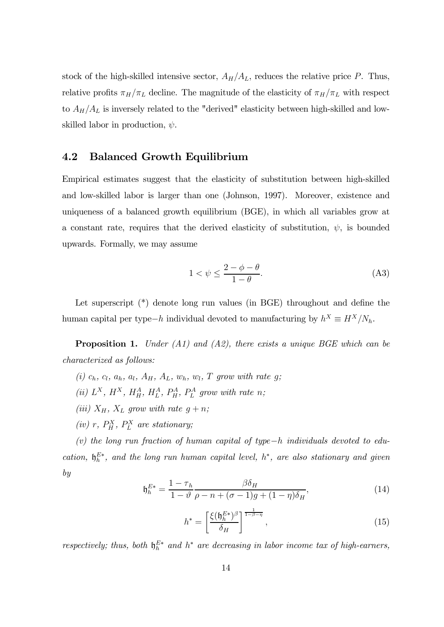stock of the high-skilled intensive sector,  $A_H/A_L$ , reduces the relative price P. Thus, relative profits  $\pi_H/\pi_L$  decline. The magnitude of the elasticity of  $\pi_H/\pi_L$  with respect to  $A_H/A_L$  is inversely related to the "derived" elasticity between high-skilled and lowskilled labor in production,  $\psi$ .

### 4.2 Balanced Growth Equilibrium

Empirical estimates suggest that the elasticity of substitution between high-skilled and low-skilled labor is larger than one (Johnson, 1997). Moreover, existence and uniqueness of a balanced growth equilibrium (BGE), in which all variables grow at a constant rate, requires that the derived elasticity of substitution,  $\psi$ , is bounded upwards. Formally, we may assume

$$
1 < \psi \le \frac{2 - \phi - \theta}{1 - \theta}.\tag{A3}
$$

Let superscript  $(*)$  denote long run values (in BGE) throughout and define the human capital per type−h individual devoted to manufacturing by  $h^X \equiv H^X/N_h$ .

**Proposition 1.** Under (A1) and (A2), there exists a unique BGE which can be characterized as follows:

- (i)  $c_h$ ,  $c_l$ ,  $a_h$ ,  $a_l$ ,  $A_H$ ,  $A_L$ ,  $w_h$ ,  $w_l$ ,  $T$  grow with rate  $g$ ;
- (ii)  $L^X$ ,  $H^X$ ,  $H^A_H$ ,  $H^A_L$ ,  $P^A_H$ ,  $P^A_L$  grow with rate n;
- (iii)  $X_H$ ,  $X_L$  grow with rate  $g + n$ ;
- (iv) r,  $P_H^X$ ,  $P_L^X$  are stationary;

 $(v)$  the long run fraction of human capital of type−h individuals devoted to education,  $\mathfrak{h}_h^{E*}$ , and the long run human capital level,  $h^*$ , are also stationary and given by

$$
\mathfrak{h}_h^{E*} = \frac{1 - \tau_h}{1 - \vartheta} \frac{\beta \delta_H}{\rho - n + (\sigma - 1)g + (1 - \eta)\delta_H},\tag{14}
$$

$$
h^* = \left[\frac{\xi(\mathfrak{h}_h^{E*})^\beta}{\delta_H}\right]^{\frac{1}{1-\beta-\eta}},\tag{15}
$$

respectively; thus, both  $\mathfrak{h}_h^{E*}$  and  $h^*$  are decreasing in labor income tax of high-earners,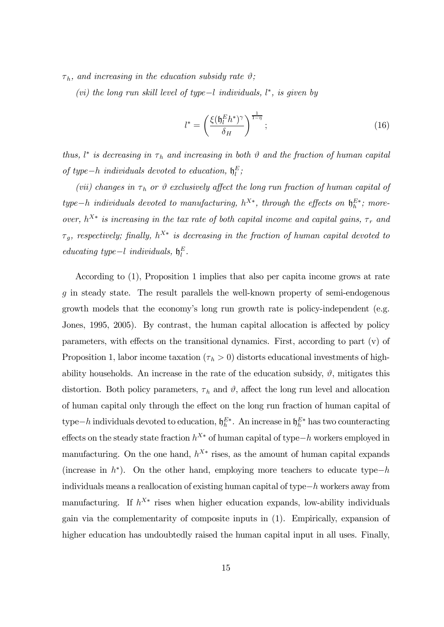$\tau_h$ , and increasing in the education subsidy rate  $\vartheta$ ;

(vi) the long run skill level of type $-l$  individuals,  $l^*$ , is given by

$$
l^* = \left(\frac{\xi(\mathfrak{h}_l^E h^*)^{\gamma}}{\delta_H}\right)^{\frac{1}{1-\eta}};
$$
\n(16)

thus,  $l^*$  is decreasing in  $\tau_h$  and increasing in both  $\vartheta$  and the fraction of human capital of type-h individuals devoted to education,  $\mathfrak{h}_l^E$ ;

(vii) changes in  $\tau_h$  or  $\vartheta$  exclusively affect the long run fraction of human capital of type−h individuals devoted to manufacturing,  $h^{X*}$ , through the effects on  $\mathfrak{h}_h^{E*}$ ; moreover,  $h^{X*}$  is increasing in the tax rate of both capital income and capital gains,  $\tau_r$  and  $\tau_g$ , respectively; finally,  $h^{X*}$  is decreasing in the fraction of human capital devoted to educating type-l individuals,  $\mathfrak{h}_l^E$ .

According to (1), Proposition 1 implies that also per capita income grows at rate in steady state. The result parallels the well-known property of semi-endogenous growth models that the economy's long run growth rate is policy-independent (e.g. Jones, 1995, 2005). By contrast, the human capital allocation is affected by policy parameters, with effects on the transitional dynamics. First, according to part (v) of Proposition 1, labor income taxation ( $\tau_h > 0$ ) distorts educational investments of highability households. An increase in the rate of the education subsidy,  $\vartheta$ , mitigates this distortion. Both policy parameters,  $\tau_h$  and  $\vartheta$ , affect the long run level and allocation of human capital only through the effect on the long run fraction of human capital of type $-h$  individuals devoted to education,  $\mathfrak{h}_h^{E*}$ . An increase in  $\mathfrak{h}_h^{E*}$  has two counteracting effects on the steady state fraction  $h^{X*}$  of human capital of type− $h$  workers employed in manufacturing. On the one hand,  $h^{X*}$  rises, as the amount of human capital expands (increase in  $h^*$ ). On the other hand, employing more teachers to educate type−h individuals means a reallocation of existing human capital of type− workers away from manufacturing. If  $h^{X*}$  rises when higher education expands, low-ability individuals gain via the complementarity of composite inputs in (1). Empirically, expansion of higher education has undoubtedly raised the human capital input in all uses. Finally,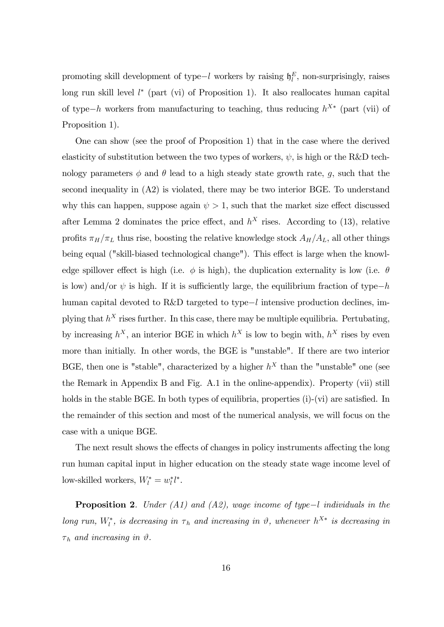promoting skill development of type $-l$  workers by raising  $\mathfrak{h}_l^E$ , non-surprisingly, raises long run skill level  $l^*$  (part (vi) of Proposition 1). It also reallocates human capital of type−h workers from manufacturing to teaching, thus reducing  $h^{X*}$  (part (vii) of Proposition 1).

One can show (see the proof of Proposition 1) that in the case where the derived elasticity of substitution between the two types of workers,  $\psi$ , is high or the R&D technology parameters  $\phi$  and  $\theta$  lead to a high steady state growth rate, g, such that the second inequality in (A2) is violated, there may be two interior BGE. To understand why this can happen, suppose again  $\psi > 1$ , such that the market size effect discussed after Lemma 2 dominates the price effect, and  $h<sup>X</sup>$  rises. According to (13), relative profits  $\pi_H/\pi_L$  thus rise, boosting the relative knowledge stock  $A_H/A_L$ , all other things being equal ("skill-biased technological change"). This effect is large when the knowledge spillover effect is high (i.e.  $\phi$  is high), the duplication externality is low (i.e.  $\theta$ is low) and/or  $\psi$  is high. If it is sufficiently large, the equilibrium fraction of type−h human capital devoted to R&D targeted to type−l intensive production declines, implying that  $h^X$  rises further. In this case, there may be multiple equilibria. Pertubating, by increasing  $h^X$ , an interior BGE in which  $h^X$  is low to begin with,  $h^X$  rises by even more than initially. In other words, the BGE is "unstable". If there are two interior BGE, then one is "stable", characterized by a higher  $h<sup>X</sup>$  than the "unstable" one (see the Remark in Appendix B and Fig. A.1 in the online-appendix). Property (vii) still holds in the stable BGE. In both types of equilibria, properties (i)-(vi) are satisfied. In the remainder of this section and most of the numerical analysis, we will focus on the case with a unique BGE.

The next result shows the effects of changes in policy instruments affecting the long run human capital input in higher education on the steady state wage income level of low-skilled workers,  $W_l^* = w_l^* l^*$ .

**Proposition 2.** Under (A1) and (A2), wage income of type–l individuals in the long run,  $W_l^*$ , is decreasing in  $\tau_h$  and increasing in  $\vartheta$ , whenever  $h^{X*}$  is decreasing in  $\tau_h$  and increasing in  $\vartheta$ .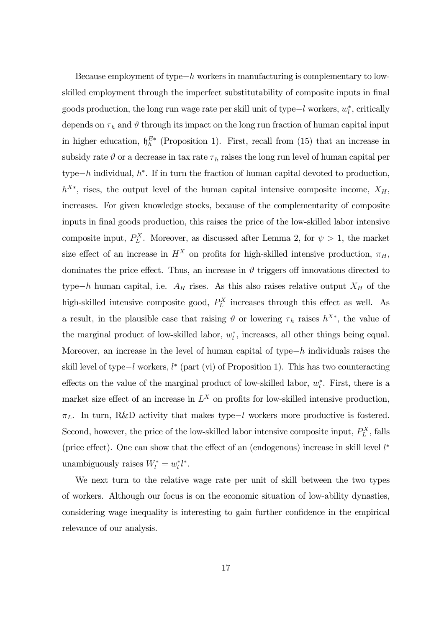Because employment of type $-h$  workers in manufacturing is complementary to lowskilled employment through the imperfect substitutability of composite inputs in final goods production, the long run wage rate per skill unit of type $-l$  workers,  $w_l^*$ , critically depends on  $\tau_h$  and  $\vartheta$  through its impact on the long run fraction of human capital input in higher education,  $\mathfrak{h}_h^{E*}$  (Proposition 1). First, recall from (15) that an increase in subsidy rate  $\vartheta$  or a decrease in tax rate  $\tau_h$  raises the long run level of human capital per type−h individual,  $h^*$ . If in turn the fraction of human capital devoted to production,  $h^{X*}$ , rises, the output level of the human capital intensive composite income,  $X_H$ , increases. For given knowledge stocks, because of the complementarity of composite inputs in final goods production, this raises the price of the low-skilled labor intensive composite input,  $P_L^X$ . Moreover, as discussed after Lemma 2, for  $\psi > 1$ , the market size effect of an increase in  $H^X$  on profits for high-skilled intensive production,  $\pi_H$ , dominates the price effect. Thus, an increase in  $\vartheta$  triggers off innovations directed to type−h human capital, i.e.  $A_H$  rises. As this also raises relative output  $X_H$  of the high-skilled intensive composite good,  $P_L^X$  increases through this effect as well. As a result, in the plausible case that raising  $\vartheta$  or lowering  $\tau_h$  raises  $h^{X*}$ , the value of the marginal product of low-skilled labor,  $w_l^*$ , increases, all other things being equal. Moreover, an increase in the level of human capital of type $-h$  individuals raises the skill level of type−l workers,  $l^*$  (part (vi) of Proposition 1). This has two counteracting effects on the value of the marginal product of low-skilled labor,  $w_l^*$ . First, there is a market size effect of an increase in  $L^X$  on profits for low-skilled intensive production,  $\pi_L$ . In turn, R&D activity that makes type−l workers more productive is fostered. Second, however, the price of the low-skilled labor intensive composite input,  $P_L^X$ , falls (price effect). One can show that the effect of an (endogenous) increase in skill level  $l^*$ unambiguously raises  $W_l^* = w_l^* l^*$ .

We next turn to the relative wage rate per unit of skill between the two types of workers. Although our focus is on the economic situation of low-ability dynasties, considering wage inequality is interesting to gain further confidence in the empirical relevance of our analysis.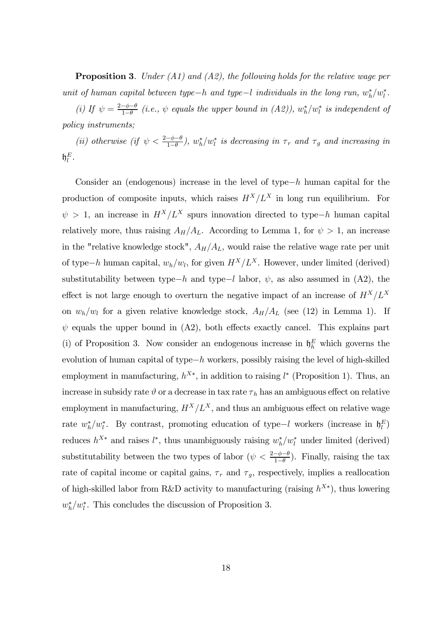**Proposition 3.** Under (A1) and (A2), the following holds for the relative wage per unit of human capital between type-h and type-l individuals in the long run,  $w_h^*/w_l^*$ .

(i) If  $\psi = \frac{2-\phi-\theta}{1-\theta}$  (i.e.,  $\psi$  equals the upper bound in (A2)),  $w_h^* / w_l^*$  is independent of policy instruments;

(ii) otherwise (if  $\psi < \frac{2-\phi-\theta}{1-\theta}$ ),  $w_h^*/w_l^*$  is decreasing in  $\tau_r$  and  $\tau_g$  and increasing in  $\mathfrak{h}^E_l$  .

Consider an (endogenous) increase in the level of type− $h$  human capital for the production of composite inputs, which raises  $H^X/L^X$  in long run equilibrium. For  $\psi > 1$ , an increase in  $H^X/L^X$  spurs innovation directed to type−h human capital relatively more, thus raising  $A_H/A_L$ . According to Lemma 1, for  $\psi > 1$ , an increase in the "relative knowledge stock",  $A_H/A_L$ , would raise the relative wage rate per unit of type−h human capital,  $w_h/w_l$ , for given  $H^X/L^X$ . However, under limited (derived) substitutability between type−h and type−l labor,  $\psi$ , as also assumed in (A2), the effect is not large enough to overturn the negative impact of an increase of  $H^X/L^X$ on  $w_h/w_l$  for a given relative knowledge stock,  $A_H/A_L$  (see (12) in Lemma 1). If  $\psi$  equals the upper bound in (A2), both effects exactly cancel. This explains part (i) of Proposition 3. Now consider an endogenous increase in  $\mathfrak{h}_h^E$  which governs the evolution of human capital of type $-h$  workers, possibly raising the level of high-skilled employment in manufacturing,  $h^{X*}$ , in addition to raising  $l^*$  (Proposition 1). Thus, an increase in subsidy rate  $\vartheta$  or a decrease in tax rate  $\tau_h$  has an ambiguous effect on relative employment in manufacturing,  $H^X/L^X$ , and thus an ambiguous effect on relative wage rate  $w_h^*/w_l^*$ . By contrast, promoting education of type-l workers (increase in  $\mathfrak{h}_l^E$ ) reduces  $h^{X*}$  and raises  $l^*$ , thus unambiguously raising  $w_h^*/w_l^*$  under limited (derived) substitutability between the two types of labor  $(\psi < \frac{2-\phi-\theta}{1-\theta})$ . Finally, raising the tax rate of capital income or capital gains,  $\tau_r$  and  $\tau_g$ , respectively, implies a reallocation of high-skilled labor from R&D activity to manufacturing (raising  $h^{X*}$ ), thus lowering  $w_h^*/w_l^*$ . This concludes the discussion of Proposition 3.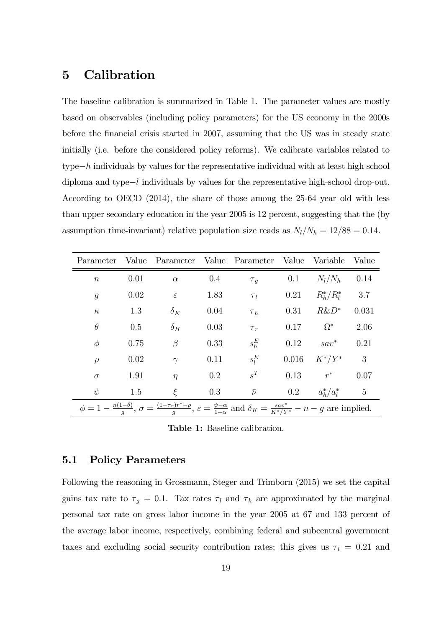## 5 Calibration

The baseline calibration is summarized in Table 1. The parameter values are mostly based on observables (including policy parameters) for the US economy in the 2000s before the financial crisis started in 2007, assuming that the US was in steady state initially (i.e. before the considered policy reforms). We calibrate variables related to type $-h$  individuals by values for the representative individual with at least high school diploma and type−l individuals by values for the representative high-school drop-out. According to OECD (2014), the share of those among the 25-64 year old with less than upper secondary education in the year 2005 is 12 percent, suggesting that the (by assumption time-invariant) relative population size reads as  $N_l/N_h = 12/88 = 0.14$ .

| Parameter                                                                                                                                                                                        | Value | Parameter Value Parameter Value Variable Value |         |             |         |                   |                |
|--------------------------------------------------------------------------------------------------------------------------------------------------------------------------------------------------|-------|------------------------------------------------|---------|-------------|---------|-------------------|----------------|
| $\boldsymbol{n}$                                                                                                                                                                                 | 0.01  | $\alpha$                                       | $0.4\,$ | $\tau_g$    | 0.1     | $N_l/N_h$         | 0.14           |
| $\mathfrak{g}$                                                                                                                                                                                   | 0.02  | $\varepsilon$                                  | 1.83    | $\tau_l$    | 0.21    | $R_h^*/R_l^*$ 3.7 |                |
| $\kappa$                                                                                                                                                                                         | 1.3   | $\delta_K$                                     | 0.04    | $\tau_h$    | 0.31    | $R\&D^*$          | 0.031          |
| $\theta$                                                                                                                                                                                         | 0.5   | $\delta_H$                                     | 0.03    | $\tau_r$    | 0.17    | $\Omega^*$        | 2.06           |
| $\phi$                                                                                                                                                                                           | 0.75  | $\beta$                                        | 0.33    | $s_h^E$     | 0.12    | $sav^*$           | 0.21           |
| $\rho$                                                                                                                                                                                           | 0.02  | $\gamma$                                       | 0.11    | $s_l^E$     | 0.016   | $K^*/Y^*$         | - 3            |
| $\sigma$                                                                                                                                                                                         | 1.91  | $\eta$                                         | $0.2\,$ | $s^T$       | 0.13    | $r^*$             | 0.07           |
| $\psi$                                                                                                                                                                                           | 1.5   | ξ                                              | 0.3     | $\bar{\nu}$ | $0.2\,$ | $a_h^*/a_l^*$     | $\overline{5}$ |
| $\phi = 1 - \frac{n(1-\theta)}{q}, \sigma = \frac{(1-\tau_r)r^*-\rho}{q}, \varepsilon = \frac{\psi-\alpha}{1-\alpha} \text{ and } \delta_K = \frac{sav^*}{K^*/Y^*} - n - g \text{ are implied.}$ |       |                                                |         |             |         |                   |                |

Table 1: Baseline calibration.

### 5.1 Policy Parameters

Following the reasoning in Grossmann, Steger and Trimborn (2015) we set the capital gains tax rate to  $\tau_g = 0.1$ . Tax rates  $\tau_l$  and  $\tau_h$  are approximated by the marginal personal tax rate on gross labor income in the year 2005 at 67 and 133 percent of the average labor income, respectively, combining federal and subcentral government taxes and excluding social security contribution rates; this gives us  $\tau_l = 0.21$  and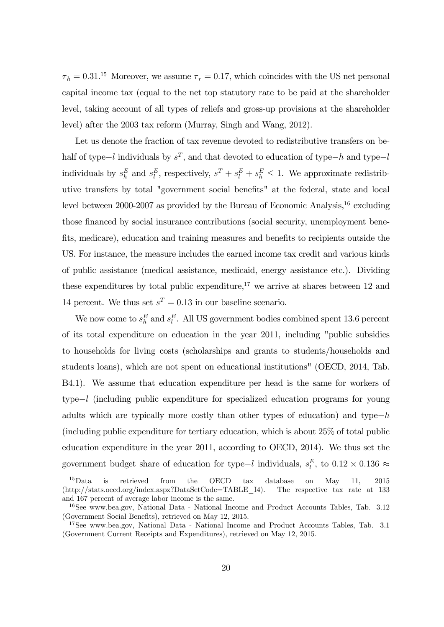$\tau_h = 0.31^{15}$  Moreover, we assume  $\tau_r = 0.17$ , which coincides with the US net personal capital income tax (equal to the net top statutory rate to be paid at the shareholder level, taking account of all types of reliefs and gross-up provisions at the shareholder level) after the 2003 tax reform (Murray, Singh and Wang, 2012).

Let us denote the fraction of tax revenue devoted to redistributive transfers on behalf of type−l individuals by  $s^T$ , and that devoted to education of type−h and type−l individuals by  $s_h^E$  and  $s_l^E$ , respectively,  $s^T + s_l^E + s_h^E \leq 1$ . We approximate redistributive transfers by total "government social benefits" at the federal, state and local level between 2000-2007 as provided by the Bureau of Economic Analysis,<sup>16</sup> excluding those financed by social insurance contributions (social security, unemployment benefits, medicare), education and training measures and benefits to recipients outside the US. For instance, the measure includes the earned income tax credit and various kinds of public assistance (medical assistance, medicaid, energy assistance etc.). Dividing these expenditures by total public expenditure,<sup>17</sup> we arrive at shares between 12 and 14 percent. We thus set  $s^T = 0.13$  in our baseline scenario.

We now come to  $s_h^E$  and  $s_l^E$ . All US government bodies combined spent 13.6 percent of its total expenditure on education in the year 2011, including "public subsidies to households for living costs (scholarships and grants to students/households and students loans), which are not spent on educational institutions" (OECD, 2014, Tab. B4.1). We assume that education expenditure per head is the same for workers of type−l (including public expenditure for specialized education programs for young adults which are typically more costly than other types of education) and type $-h$ (including public expenditure for tertiary education, which is about 25% of total public education expenditure in the year 2011, according to OECD, 2014). We thus set the government budget share of education for type–l individuals,  $s_l^E$ , to  $0.12 \times 0.136 \approx$ 

<sup>&</sup>lt;sup>15</sup>Data is retrieved from the OECD tax database on May 11, 2015 (http://stats.oecd.org/index.aspx?DataSetCode=TABLE\_I4). The respective tax rate at 133 and 167 percent of average labor income is the same.

<sup>&</sup>lt;sup>16</sup>See www.bea.gov, National Data - National Income and Product Accounts Tables, Tab. 3.12 (Government Social Benefits), retrieved on May 12, 2015.

<sup>17</sup>See www.bea.gov, National Data - National Income and Product Accounts Tables, Tab. 3.1 (Government Current Receipts and Expenditures), retrieved on May 12, 2015.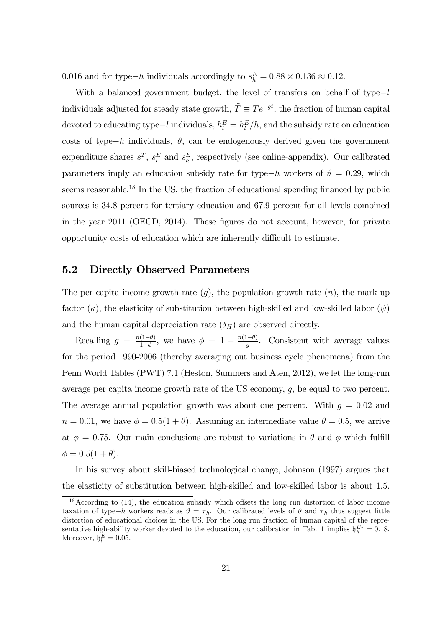0.016 and for type−h individuals accordingly to  $s_h^E = 0.88 \times 0.136 \approx 0.12$ .

With a balanced government budget, the level of transfers on behalf of type−l individuals adjusted for steady state growth,  $\tilde{T} \equiv Te^{-gt}$ , the fraction of human capital devoted to educating type $-l$  individuals,  $h_l^E = h_l^E/h$ , and the subsidy rate on education costs of type−h individuals,  $\vartheta$ , can be endogenously derived given the government expenditure shares  $s^T$ ,  $s_l^E$  and  $s_h^E$ , respectively (see online-appendix). Our calibrated parameters imply an education subsidy rate for type−h workers of  $\vartheta = 0.29$ , which seems reasonable.<sup>18</sup> In the US, the fraction of educational spending financed by public sources is 34.8 percent for tertiary education and 67.9 percent for all levels combined in the year 2011 (OECD, 2014). These figures do not account, however, for private opportunity costs of education which are inherently difficult to estimate.

### 5.2 Directly Observed Parameters

The per capita income growth rate  $(q)$ , the population growth rate  $(n)$ , the mark-up factor  $(\kappa)$ , the elasticity of substitution between high-skilled and low-skilled labor  $(\psi)$ and the human capital depreciation rate  $(\delta_H)$  are observed directly.

Recalling  $g = \frac{n(1-\theta)}{1-\phi}$ , we have  $\phi = 1 - \frac{n(1-\theta)}{g}$ . Consistent with average values for the period 1990-2006 (thereby averaging out business cycle phenomena) from the Penn World Tables (PWT) 7.1 (Heston, Summers and Aten, 2012), we let the long-run average per capita income growth rate of the US economy,  $g$ , be equal to two percent. The average annual population growth was about one percent. With  $q = 0.02$  and  $n = 0.01$ , we have  $\phi = 0.5(1 + \theta)$ . Assuming an intermediate value  $\theta = 0.5$ , we arrive at  $\phi = 0.75$ . Our main conclusions are robust to variations in  $\theta$  and  $\phi$  which fulfill  $\phi = 0.5(1 + \theta).$ 

In his survey about skill-biased technological change, Johnson (1997) argues that the elasticity of substitution between high-skilled and low-skilled labor is about 1.5.

<sup>&</sup>lt;sup>18</sup> According to (14), the education subsidy which offsets the long run distortion of labor income taxation of type−h workers reads as  $\vartheta = \tau_h$ . Our calibrated levels of  $\vartheta$  and  $\tau_h$  thus suggest little distortion of educational choices in the US. For the long run fraction of human capital of the representative high-ability worker devoted to the education, our calibration in Tab. 1 implies  $\mathfrak{h}_h^{E*} = 0.18$ . Moreover,  $\mathfrak{h}_l^E = 0.05$ .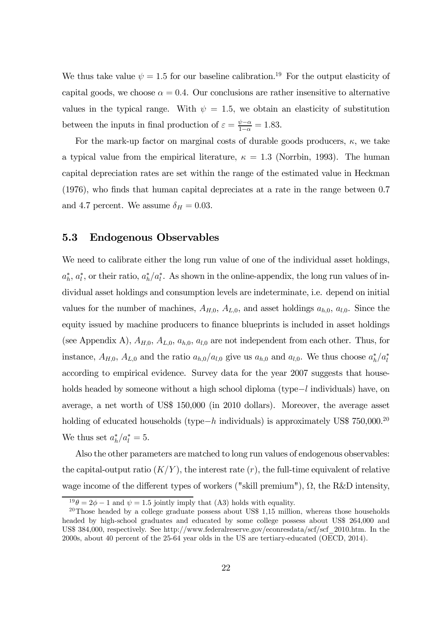We thus take value  $\psi = 1.5$  for our baseline calibration.<sup>19</sup> For the output elasticity of capital goods, we choose  $\alpha = 0.4$ . Our conclusions are rather insensitive to alternative values in the typical range. With  $\psi = 1.5$ , we obtain an elasticity of substitution between the inputs in final production of  $\varepsilon = \frac{\psi - \alpha}{1 - \alpha} = 1.83$ .

For the mark-up factor on marginal costs of durable goods producers,  $\kappa$ , we take a typical value from the empirical literature,  $\kappa = 1.3$  (Norrbin, 1993). The human capital depreciation rates are set within the range of the estimated value in Heckman (1976), who finds that human capital depreciates at a rate in the range between 0.7 and 4.7 percent. We assume  $\delta_H = 0.03$ .

### 5.3 Endogenous Observables

We need to calibrate either the long run value of one of the individual asset holdings,  $a_h^*, a_l^*,$  or their ratio,  $a_h^*/a_l^*$ . As shown in the online-appendix, the long run values of individual asset holdings and consumption levels are indeterminate, i.e. depend on initial values for the number of machines,  $A_{H,0}$ ,  $A_{L,0}$ , and asset holdings  $a_{h,0}$ ,  $a_{l,0}$ . Since the equity issued by machine producers to finance blueprints is included in asset holdings (see Appendix A),  $A_{H,0}$ ,  $A_{L,0}$ ,  $a_{h,0}$ ,  $a_{l,0}$  are not independent from each other. Thus, for instance,  $A_{H,0}$ ,  $A_{L,0}$  and the ratio  $a_{h,0}/a_{l,0}$  give us  $a_{h,0}$  and  $a_{l,0}$ . We thus choose  $a_h^*/a_l^*$ according to empirical evidence. Survey data for the year 2007 suggests that households headed by someone without a high school diploma (type−l individuals) have, on average, a net worth of US\$ 150,000 (in 2010 dollars). Moreover, the average asset holding of educated households (type−h individuals) is approximately US\$ 750,000.<sup>20</sup> We thus set  $a_h^*/a_l^* = 5$ .

Also the other parameters are matched to long run values of endogenous observables: the capital-output ratio  $(K/Y)$ , the interest rate  $(r)$ , the full-time equivalent of relative wage income of the different types of workers ("skill premium"),  $\Omega$ , the R&D intensity,

 $19\theta = 2\phi - 1$  and  $\psi = 1.5$  jointly imply that (A3) holds with equality.

<sup>&</sup>lt;sup>20</sup>Those headed by a college graduate possess about US\$ 1,15 million, whereas those households headed by high-school graduates and educated by some college possess about US\$ 264,000 and US\$ 384,000, respectively. See http://www.federalreserve.gov/econresdata/scf/scf\_2010.htm. In the 2000s, about 40 percent of the 25-64 year olds in the US are tertiary-educated (OECD, 2014).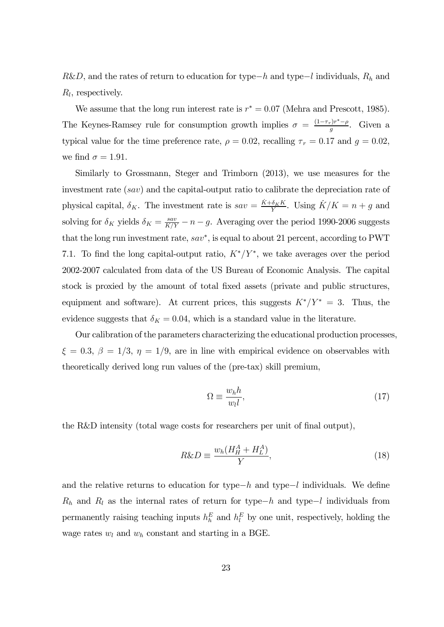$R&D$ , and the rates of return to education for type−h and type−l individuals,  $R<sub>h</sub>$  and  $R_l$ , respectively.

We assume that the long run interest rate is  $r^* = 0.07$  (Mehra and Prescott, 1985). The Keynes-Ramsey rule for consumption growth implies  $\sigma = \frac{(1-\tau_r)r^*-\rho}{g}$ . Given a typical value for the time preference rate,  $\rho = 0.02$ , recalling  $\tau_r = 0.17$  and  $g = 0.02$ , we find  $\sigma = 1.91$ .

Similarly to Grossmann, Steger and Trimborn (2013), we use measures for the investment rate  $(sav)$  and the capital-output ratio to calibrate the depreciation rate of physical capital,  $\delta_K$ . The investment rate is  $sav = \frac{\dot{K} + \delta_K K}{Y}$ . Using  $\dot{K}/K = n + g$  and solving for  $\delta_K$  yields  $\delta_K = \frac{sav}{K/Y} - n - g$ . Averaging over the period 1990-2006 suggests that the long run investment rate,  $sav^*$ , is equal to about 21 percent, according to PWT 7.1. To find the long capital-output ratio,  $K^*/Y^*$ , we take averages over the period 2002-2007 calculated from data of the US Bureau of Economic Analysis. The capital stock is proxied by the amount of total fixed assets (private and public structures, equipment and software). At current prices, this suggests  $K^*/Y^* = 3$ . Thus, the evidence suggests that  $\delta_K = 0.04$ , which is a standard value in the literature.

Our calibration of the parameters characterizing the educational production processes,  $\xi = 0.3, \beta = 1/3, \eta = 1/9$ , are in line with empirical evidence on observables with theoretically derived long run values of the (pre-tax) skill premium,

$$
\Omega \equiv \frac{w_h h}{w_l l},\tag{17}
$$

the R&D intensity (total wage costs for researchers per unit of final output),

$$
R\&D \equiv \frac{w_h(H_H^A + H_L^A)}{Y},\tag{18}
$$

and the relative returns to education for type− $h$  and type− $l$  individuals. We define  $R_h$  and  $R_l$  as the internal rates of return for type−h and type−l individuals from permanently raising teaching inputs  $h_h^E$  and  $h_l^E$  by one unit, respectively, holding the wage rates  $w_l$  and  $w_h$  constant and starting in a BGE.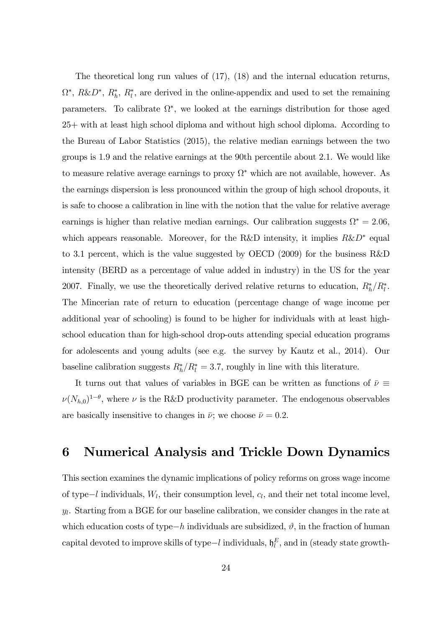The theoretical long run values of (17), (18) and the internal education returns,  $\Omega^*, R\&D^*, R_h^*, R_l^*,$  are derived in the online-appendix and used to set the remaining parameters. To calibrate  $\Omega^*$ , we looked at the earnings distribution for those aged 25+ with at least high school diploma and without high school diploma. According to the Bureau of Labor Statistics (2015), the relative median earnings between the two groups is 1.9 and the relative earnings at the 90th percentile about 2.1. We would like to measure relative average earnings to proxy  $\Omega^*$  which are not available, however. As the earnings dispersion is less pronounced within the group of high school dropouts, it is safe to choose a calibration in line with the notion that the value for relative average earnings is higher than relative median earnings. Our calibration suggests  $\Omega^* = 2.06$ , which appears reasonable. Moreover, for the R&D intensity, it implies  $R&D^*$  equal to 3.1 percent, which is the value suggested by OECD (2009) for the business R&D intensity (BERD as a percentage of value added in industry) in the US for the year 2007. Finally, we use the theoretically derived relative returns to education,  $R_h^*/R_l^*$ . The Mincerian rate of return to education (percentage change of wage income per additional year of schooling) is found to be higher for individuals with at least highschool education than for high-school drop-outs attending special education programs for adolescents and young adults (see e.g. the survey by Kautz et al., 2014). Our baseline calibration suggests  $R_h^*/R_l^* = 3.7$ , roughly in line with this literature.

It turns out that values of variables in BGE can be written as functions of  $\bar{\nu} \equiv$  $\nu(N_{h,0})^{1-\theta}$ , where  $\nu$  is the R&D productivity parameter. The endogenous observables are basically insensitive to changes in  $\bar{\nu}$ ; we choose  $\bar{\nu} = 0.2$ .

### 6 Numerical Analysis and Trickle Down Dynamics

This section examines the dynamic implications of policy reforms on gross wage income of type−l individuals,  $W_l$ , their consumption level,  $c_l$ , and their net total income level,  $y_l$ . Starting from a BGE for our baseline calibration, we consider changes in the rate at which education costs of type−h individuals are subsidized,  $\vartheta$ , in the fraction of human capital devoted to improve skills of type $-l$  individuals,  $\mathfrak{h}_l^E$ , and in (steady state growth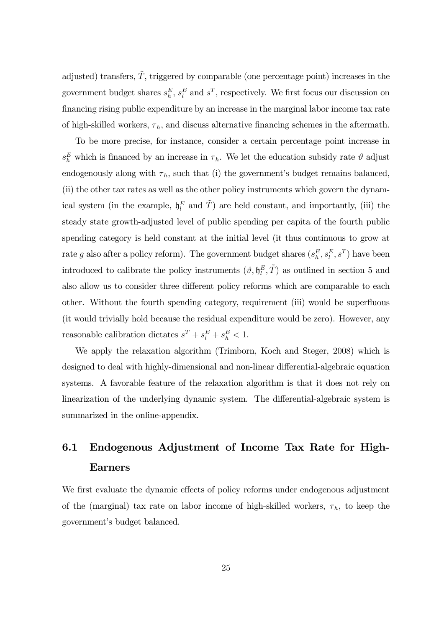adjusted) transfers,  $\tilde{T}$ , triggered by comparable (one percentage point) increases in the government budget shares  $s_h^E$ ,  $s_l^E$  and  $s^T$ , respectively. We first focus our discussion on financing rising public expenditure by an increase in the marginal labor income tax rate of high-skilled workers,  $\tau_h$ , and discuss alternative financing schemes in the aftermath.

To be more precise, for instance, consider a certain percentage point increase in  $s_h^E$  which is financed by an increase in  $\tau_h$ . We let the education subsidy rate  $\vartheta$  adjust endogenously along with  $\tau_h$ , such that (i) the government's budget remains balanced, (ii) the other tax rates as well as the other policy instruments which govern the dynamical system (in the example,  $\mathfrak{h}_l^E$  and  $\tilde{T}$ ) are held constant, and importantly, (iii) the steady state growth-adjusted level of public spending per capita of the fourth public spending category is held constant at the initial level (it thus continuous to grow at rate g also after a policy reform). The government budget shares  $(s_h^E, s_l^E, s^T)$  have been introduced to calibrate the policy instruments  $(\vartheta, \mathfrak{h}_l^E, \tilde{T})$  as outlined in section 5 and also allow us to consider three different policy reforms which are comparable to each other. Without the fourth spending category, requirement (iii) would be superfluous (it would trivially hold because the residual expenditure would be zero). However, any reasonable calibration dictates  $s^T + s_l^E + s_h^E < 1$ .

We apply the relaxation algorithm (Trimborn, Koch and Steger, 2008) which is designed to deal with highly-dimensional and non-linear differential-algebraic equation systems. A favorable feature of the relaxation algorithm is that it does not rely on linearization of the underlying dynamic system. The differential-algebraic system is summarized in the online-appendix.

# 6.1 Endogenous Adjustment of Income Tax Rate for High-Earners

We first evaluate the dynamic effects of policy reforms under endogenous adjustment of the (marginal) tax rate on labor income of high-skilled workers,  $\tau_h$ , to keep the government's budget balanced.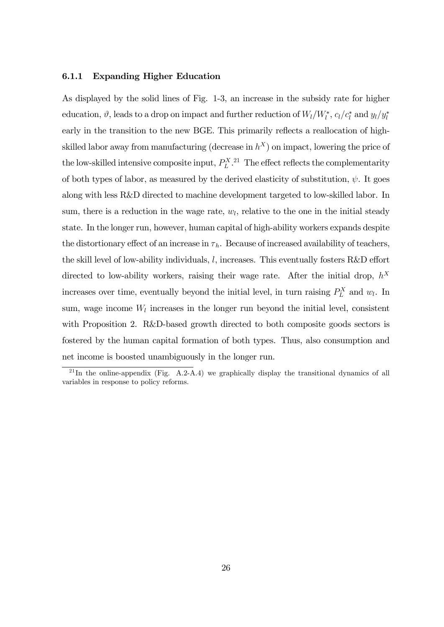#### 6.1.1 Expanding Higher Education

As displayed by the solid lines of Fig. 1-3, an increase in the subsidy rate for higher education,  $\vartheta$ , leads to a drop on impact and further reduction of  $W_l/W_l^*$ ,  $c_l/c_l^*$  and  $y_l/y_l^*$ early in the transition to the new BGE. This primarily reflects a reallocation of highskilled labor away from manufacturing (decrease in  $h^X$ ) on impact, lowering the price of the low-skilled intensive composite input,  $P_L^X$ .<sup>21</sup> The effect reflects the complementarity of both types of labor, as measured by the derived elasticity of substitution,  $\psi$ . It goes along with less R&D directed to machine development targeted to low-skilled labor. In sum, there is a reduction in the wage rate,  $w_l$ , relative to the one in the initial steady state. In the longer run, however, human capital of high-ability workers expands despite the distortionary effect of an increase in  $\tau_h$ . Because of increased availability of teachers, the skill level of low-ability individuals,  $l$ , increases. This eventually fosters R&D effort directed to low-ability workers, raising their wage rate. After the initial drop,  $h^X$ increases over time, eventually beyond the initial level, in turn raising  $P_L^X$  and  $w_l$ . In sum, wage income  $W_l$  increases in the longer run beyond the initial level, consistent with Proposition 2. R&D-based growth directed to both composite goods sectors is fostered by the human capital formation of both types. Thus, also consumption and net income is boosted unambiguously in the longer run.

 $^{21}$ In the online-appendix (Fig. A.2-A.4) we graphically display the transitional dynamics of all variables in response to policy reforms.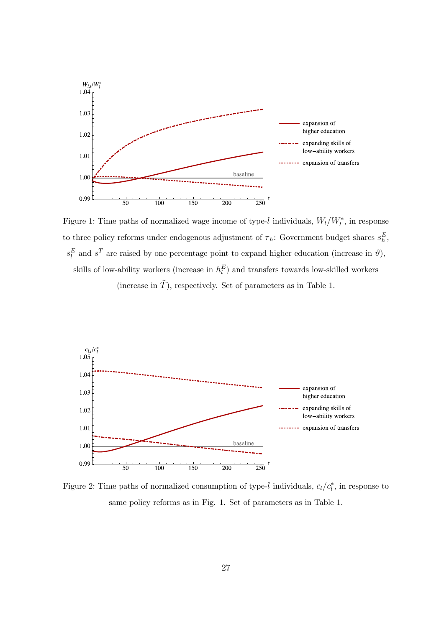

Figure 1: Time paths of normalized wage income of type-l individuals,  $W_l/W_l^*$ , in response to three policy reforms under endogenous adjustment of  $\tau_h$ : Government budget shares  $s_h^E$ ,  $s_l^E$  and  $s^T$  are raised by one percentage point to expand higher education (increase in  $\vartheta$ ), skills of low-ability workers (increase in  $h_l^E$ ) and transfers towards low-skilled workers

(increase in  $\tilde{T}$ ), respectively. Set of parameters as in Table 1.



Figure 2: Time paths of normalized consumption of type-l individuals,  $c_l/c_l^*$ , in response to same policy reforms as in Fig. 1. Set of parameters as in Table 1.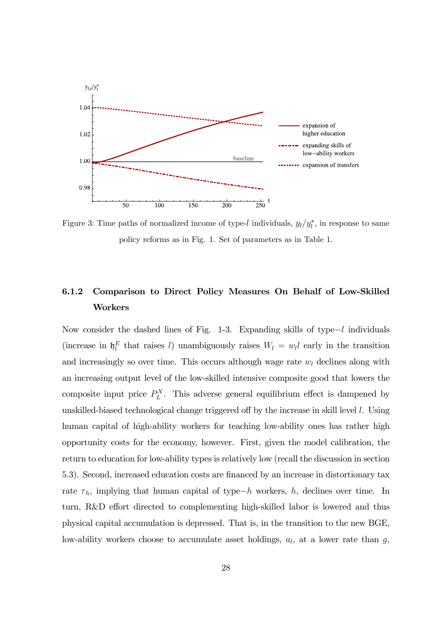

Figure 3: Time paths of normalized income of type-l individuals,  $y_l/y_l^*$ , in response to same policy reforms as in Fig. 1. Set of parameters as in Table 1.

### 6.1.2 Comparison to Direct Policy Measures On Behalf of Low-Skilled Workers

Now consider the dashed lines of Fig. 1-3. Expanding skills of type $-l$  individuals (increase in  $\mathfrak{h}_l^E$  that raises l) unambiguously raises  $W_l = w_l l$  early in the transition and increasingly so over time. This occurs although wage rate  $w_l$  declines along with an increasing output level of the low-skilled intensive composite good that lowers the composite input price  $P_L^X$ . This adverse general equilibrium effect is dampened by unskilled-biased technological change triggered off by the increase in skill level  $l$ . Using human capital of high-ability workers for teaching low-ability ones has rather high opportunity costs for the economy, however. First, given the model calibration, the return to education for low-ability types is relatively low (recall the discussion in section 5.3). Second, increased education costs are financed by an increase in distortionary tax rate  $\tau_h$ , implying that human capital of type−h workers, h, declines over time. In turn, R&D effort directed to complementing high-skilled labor is lowered and thus physical capital accumulation is depressed. That is, in the transition to the new BGE, low-ability workers choose to accumulate asset holdings,  $a_l$ , at a lower rate than  $g$ ,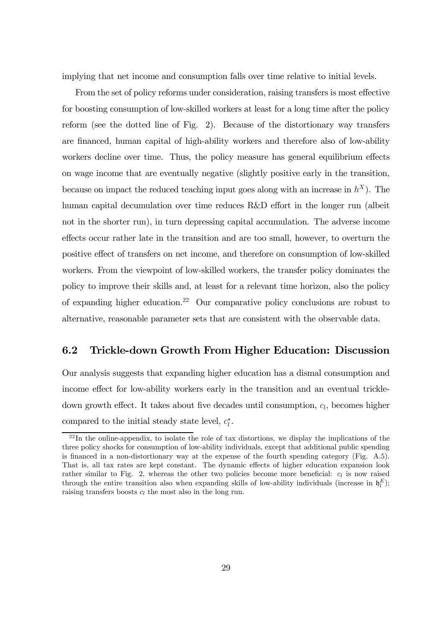implying that net income and consumption falls over time relative to initial levels.

From the set of policy reforms under consideration, raising transfers is most effective for boosting consumption of low-skilled workers at least for a long time after the policy reform (see the dotted line of Fig. 2). Because of the distortionary way transfers are financed, human capital of high-ability workers and therefore also of low-ability workers decline over time. Thus, the policy measure has general equilibrium effects on wage income that are eventually negative (slightly positive early in the transition, because on impact the reduced teaching input goes along with an increase in  $h^X$ ). The human capital decumulation over time reduces R&D effort in the longer run (albeit not in the shorter run), in turn depressing capital accumulation. The adverse income effects occur rather late in the transition and are too small, however, to overturn the positive effect of transfers on net income, and therefore on consumption of low-skilled workers. From the viewpoint of low-skilled workers, the transfer policy dominates the policy to improve their skills and, at least for a relevant time horizon, also the policy of expanding higher education.<sup>22</sup> Our comparative policy conclusions are robust to alternative, reasonable parameter sets that are consistent with the observable data.

### 6.2 Trickle-down Growth From Higher Education: Discussion

Our analysis suggests that expanding higher education has a dismal consumption and income effect for low-ability workers early in the transition and an eventual trickledown growth effect. It takes about five decades until consumption,  $c_l$ , becomes higher compared to the initial steady state level,  $c_l^*$ .

 $22$ In the online-appendix, to isolate the role of tax distortions, we display the implications of the three policy shocks for consumption of low-ability individuals, except that additional public spending is financed in a non-distortionary way at the expense of the fourth spending category (Fig. A.5). That is, all tax rates are kept constant. The dynamic effects of higher education expansion look rather similar to Fig. 2, whereas the other two policies become more beneficial:  $c<sub>l</sub>$  is now raised through the entire transition also when expanding skills of low-ability individuals (increase in  $\mathfrak{h}_l^E$ ); raising transfers boosts  $c_l$  the most also in the long run.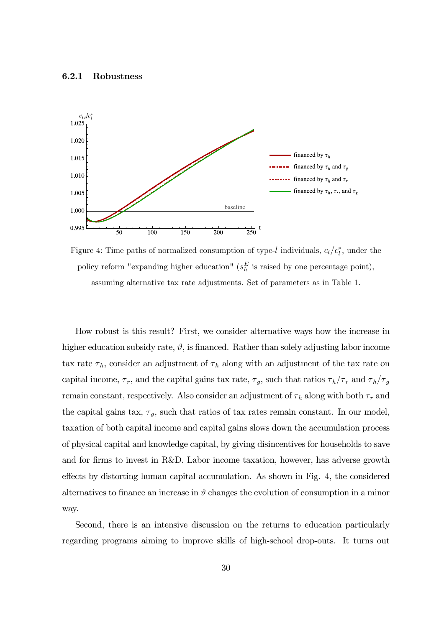#### 6.2.1 Robustness



Figure 4: Time paths of normalized consumption of type-l individuals,  $c_l/c_l^*$ , under the policy reform "expanding higher education" ( $s_h^E$  is raised by one percentage point), assuming alternative tax rate adjustments. Set of parameters as in Table 1.

How robust is this result? First, we consider alternative ways how the increase in higher education subsidy rate,  $\vartheta$ , is financed. Rather than solely adjusting labor income tax rate  $\tau_h$ , consider an adjustment of  $\tau_h$  along with an adjustment of the tax rate on capital income,  $\tau_r$ , and the capital gains tax rate,  $\tau_g$ , such that ratios  $\tau_h/\tau_r$  and  $\tau_h/\tau_g$ remain constant, respectively. Also consider an adjustment of  $\tau_h$  along with both  $\tau_r$  and the capital gains tax,  $\tau_g$ , such that ratios of tax rates remain constant. In our model, taxation of both capital income and capital gains slows down the accumulation process of physical capital and knowledge capital, by giving disincentives for households to save and for firms to invest in R&D. Labor income taxation, however, has adverse growth effects by distorting human capital accumulation. As shown in Fig. 4, the considered alternatives to finance an increase in  $\vartheta$  changes the evolution of consumption in a minor way.

Second, there is an intensive discussion on the returns to education particularly regarding programs aiming to improve skills of high-school drop-outs. It turns out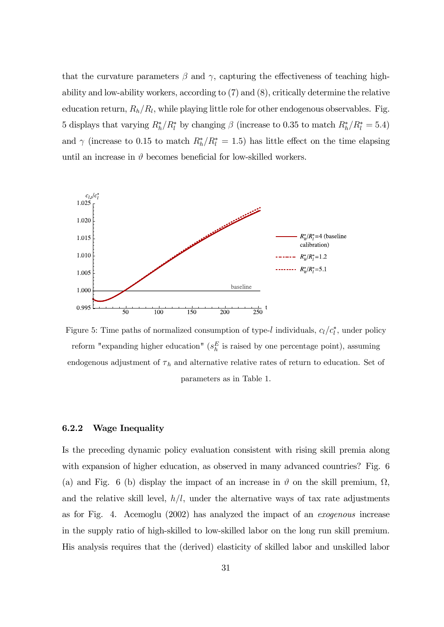that the curvature parameters  $\beta$  and  $\gamma$ , capturing the effectiveness of teaching highability and low-ability workers, according to (7) and (8), critically determine the relative education return,  $R_h/R_l$ , while playing little role for other endogenous observables. Fig. 5 displays that varying  $R_h^*/R_l^*$  by changing  $\beta$  (increase to 0.35 to match  $R_h^*/R_l^* = 5.4$ ) and  $\gamma$  (increase to 0.15 to match  $R_h^*/R_l^* = 1.5$ ) has little effect on the time elapsing until an increase in  $\vartheta$  becomes beneficial for low-skilled workers.

![](_page_31_Figure_1.jpeg)

Figure 5: Time paths of normalized consumption of type-l individuals,  $c_l/c_l^*$ , under policy reform "expanding higher education" ( $s_h^E$  is raised by one percentage point), assuming endogenous adjustment of  $\tau_h$  and alternative relative rates of return to education. Set of parameters as in Table 1.

#### 6.2.2 Wage Inequality

Is the preceding dynamic policy evaluation consistent with rising skill premia along with expansion of higher education, as observed in many advanced countries? Fig. 6 (a) and Fig. 6 (b) display the impact of an increase in  $\vartheta$  on the skill premium,  $\Omega$ . and the relative skill level,  $h/l$ , under the alternative ways of tax rate adjustments as for Fig. 4. Acemoglu (2002) has analyzed the impact of an exogenous increase in the supply ratio of high-skilled to low-skilled labor on the long run skill premium. His analysis requires that the (derived) elasticity of skilled labor and unskilled labor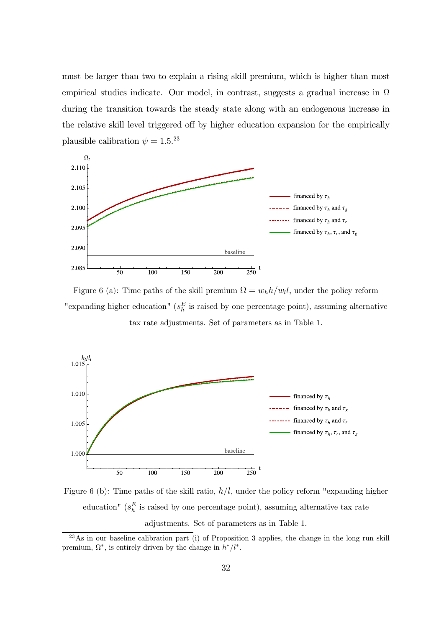must be larger than two to explain a rising skill premium, which is higher than most empirical studies indicate. Our model, in contrast, suggests a gradual increase in  $\Omega$ during the transition towards the steady state along with an endogenous increase in the relative skill level triggered off by higher education expansion for the empirically plausible calibration  $\psi = 1.5.^{23}$ 

![](_page_32_Figure_1.jpeg)

Figure 6 (a): Time paths of the skill premium  $\Omega = w_h h / w_l l$ , under the policy reform "expanding higher education" ( $s_h^E$  is raised by one percentage point), assuming alternative tax rate adjustments. Set of parameters as in Table 1.

![](_page_32_Figure_3.jpeg)

Figure 6 (b): Time paths of the skill ratio,  $h/l$ , under the policy reform "expanding higher education" ( $s_h^E$  is raised by one percentage point), assuming alternative tax rate adjustments. Set of parameters as in Table 1.

 $^{23}$ As in our baseline calibration part (i) of Proposition 3 applies, the change in the long run skill premium,  $\Omega^*$ , is entirely driven by the change in  $h^*/l^*$ .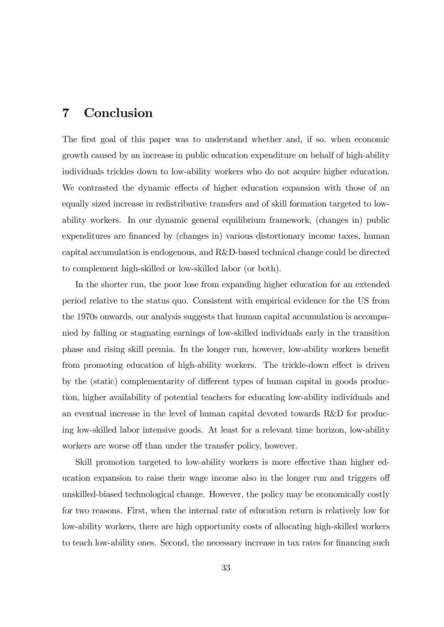### 7 Conclusion

The first goal of this paper was to understand whether and, if so, when economic growth caused by an increase in public education expenditure on behalf of high-ability individuals trickles down to low-ability workers who do not acquire higher education. We contrasted the dynamic effects of higher education expansion with those of an equally sized increase in redistributive transfers and of skill formation targeted to lowability workers. In our dynamic general equilibrium framework, (changes in) public expenditures are financed by (changes in) various distortionary income taxes, human capital accumulation is endogenous, and R&D-based technical change could be directed to complement high-skilled or low-skilled labor (or both).

In the shorter run, the poor lose from expanding higher education for an extended period relative to the status quo. Consistent with empirical evidence for the US from the 1970s onwards, our analysis suggests that human capital accumulation is accompanied by falling or stagnating earnings of low-skilled individuals early in the transition phase and rising skill premia. In the longer run, however, low-ability workers benefit from promoting education of high-ability workers. The trickle-down effect is driven by the (static) complementarity of different types of human capital in goods production, higher availability of potential teachers for educating low-ability individuals and an eventual increase in the level of human capital devoted towards R&D for producing low-skilled labor intensive goods. At least for a relevant time horizon, low-ability workers are worse off than under the transfer policy, however.

Skill promotion targeted to low-ability workers is more effective than higher education expansion to raise their wage income also in the longer run and triggers off unskilled-biased technological change. However, the policy may be economically costly for two reasons. First, when the internal rate of education return is relatively low for low-ability workers, there are high opportunity costs of allocating high-skilled workers to teach low-ability ones. Second, the necessary increase in tax rates for financing such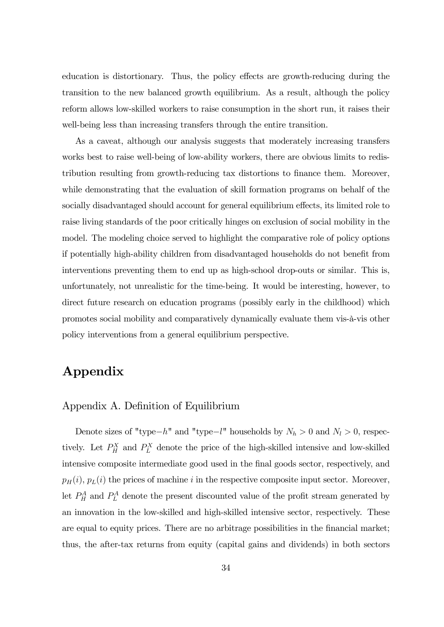education is distortionary. Thus, the policy effects are growth-reducing during the transition to the new balanced growth equilibrium. As a result, although the policy reform allows low-skilled workers to raise consumption in the short run, it raises their well-being less than increasing transfers through the entire transition.

As a caveat, although our analysis suggests that moderately increasing transfers works best to raise well-being of low-ability workers, there are obvious limits to redistribution resulting from growth-reducing tax distortions to finance them. Moreover, while demonstrating that the evaluation of skill formation programs on behalf of the socially disadvantaged should account for general equilibrium effects, its limited role to raise living standards of the poor critically hinges on exclusion of social mobility in the model. The modeling choice served to highlight the comparative role of policy options if potentially high-ability children from disadvantaged households do not benefit from interventions preventing them to end up as high-school drop-outs or similar. This is, unfortunately, not unrealistic for the time-being. It would be interesting, however, to direct future research on education programs (possibly early in the childhood) which promotes social mobility and comparatively dynamically evaluate them vis-à-vis other policy interventions from a general equilibrium perspective.

## Appendix

Appendix A. Definition of Equilibrium

Denote sizes of "type− $h$ " and "type− $l$ " households by  $N_h > 0$  and  $N_l > 0$ , respectively. Let  $P_H^X$  and  $P_L^X$  denote the price of the high-skilled intensive and low-skilled intensive composite intermediate good used in the final goods sector, respectively, and  $p_H(i), p_L(i)$  the prices of machine *i* in the respective composite input sector. Moreover, let  $P_H^A$  and  $P_L^A$  denote the present discounted value of the profit stream generated by an innovation in the low-skilled and high-skilled intensive sector, respectively. These are equal to equity prices. There are no arbitrage possibilities in the financial market; thus, the after-tax returns from equity (capital gains and dividends) in both sectors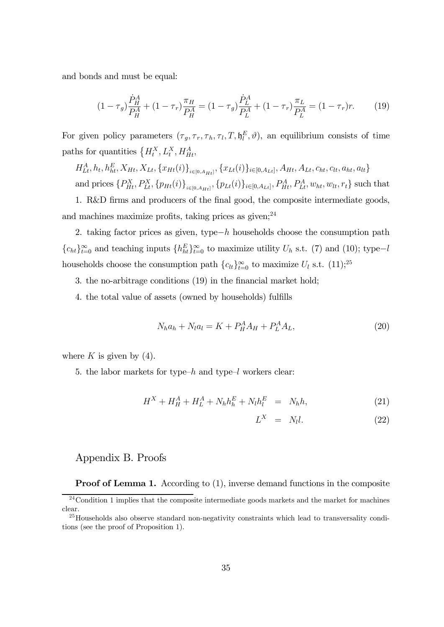and bonds and must be equal:

$$
(1 - \tau_g) \frac{\dot{P}_H^A}{P_H^A} + (1 - \tau_r) \frac{\pi_H}{P_H^A} = (1 - \tau_g) \frac{\dot{P}_L^A}{P_L^A} + (1 - \tau_r) \frac{\pi_L}{P_L^A} = (1 - \tau_r)r. \tag{19}
$$

For given policy parameters  $(\tau_g, \tau_r, \tau_h, \tau_l, T, \mathfrak{h}_l^E, \vartheta)$ , an equilibrium consists of time paths for quantities  $\{H_t^X, L_t^X, H_{Ht}^A,$ 

 $H_{Lt}^A, h_t, h_{ht}^E, X_{Ht}, X_{Lt}, \{x_{Ht}(i)\}_{i \in [0, A_{Ht}]}, \{x_{Lt}(i)\}_{i \in [0, A_{Lt}]}, A_{Ht}, A_{Lt}, c_{ht}, c_{lt}, a_{ht}, a_{lt}\}$ and prices  $\{P_{Ht}^X, P_{Lt}^X, \{p_{Ht}(i)\}_{i \in [0, A_{Ht}]}$ ,  $\{p_{Lt}(i)\}_{i \in [0, A_{Lt}]}$ ,  $P_{Ht}^A, P_{Lt}^A, w_{ht}, w_{lt}, r_t\}$  such that

1. R&D firms and producers of the final good, the composite intermediate goods, and machines maximize profits, taking prices as  $given;^{24}$ 

2. taking factor prices as given, type− $h$  households choose the consumption path  ${c_{ht}}_{t=0}^{\infty}$  and teaching inputs  ${h_{ht}^E}_{t=0}^{\infty}$  to maximize utility  $U_h$  s.t. (7) and (10); type-l households choose the consumption path  ${c_{lt}}_{t=0}^{\infty}$  to maximize  $U_l$  s.t. (11);<sup>25</sup>

3. the no-arbitrage conditions (19) in the financial market hold;

4. the total value of assets (owned by households) fulfills

$$
N_h a_h + N_l a_l = K + P_H^A A_H + P_L^A A_L,\tag{20}
$$

where  $K$  is given by (4).

5. the labor markets for type- $h$  and type- $l$  workers clear:

$$
H^X + H^A_H + H^A_L + N_h h^E_h + N_l h^E_l = N_h h, \qquad (21)
$$

$$
L^X = N_l l. \t\t(22)
$$

### Appendix B. Proofs

**Proof of Lemma 1.** According to (1), inverse demand functions in the composite

 $24$ Condition 1 implies that the composite intermediate goods markets and the market for machines clear.

 $^{25}$ Households also observe standard non-negativity constraints which lead to transversality conditions (see the proof of Proposition 1).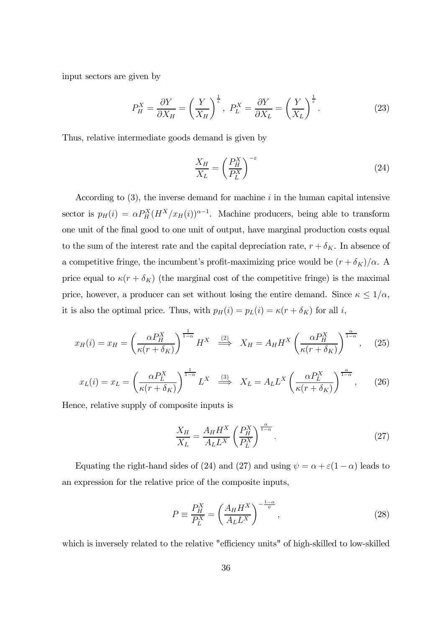input sectors are given by

$$
P_H^X = \frac{\partial Y}{\partial X_H} = \left(\frac{Y}{X_H}\right)^{\frac{1}{\varepsilon}}, \ P_L^X = \frac{\partial Y}{\partial X_L} = \left(\frac{Y}{X_L}\right)^{\frac{1}{\varepsilon}}.
$$
 (23)

Thus, relative intermediate goods demand is given by

$$
\frac{X_H}{X_L} = \left(\frac{P_H^X}{P_L^X}\right)^{-\varepsilon} \tag{24}
$$

According to  $(3)$ , the inverse demand for machine *i* in the human capital intensive sector is  $p_H(i) = \alpha P_H^X (H^X/x_H(i))^{\alpha-1}$ . Machine producers, being able to transform one unit of the final good to one unit of output, have marginal production costs equal to the sum of the interest rate and the capital depreciation rate,  $r + \delta_K$ . In absence of a competitive fringe, the incumbent's profit-maximizing price would be  $(r + \delta_K)/\alpha$ . price equal to  $\kappa ( r + \delta_K )$  (the marginal cost of the competitive fringe) is the maximal price, however, a producer can set without losing the entire demand. Since  $\kappa \leq 1/\alpha$ , it is also the optimal price. Thus, with  $p_H(i) = p_L(i) = \kappa(r + \delta_K)$  for all i,

$$
x_H(i) = x_H = \left(\frac{\alpha P_H^X}{\kappa(r + \delta_K)}\right)^{\frac{1}{1-\alpha}} H^X \stackrel{(2)}{\implies} X_H = A_H H^X \left(\frac{\alpha P_H^X}{\kappa(r + \delta_K)}\right)^{\frac{\alpha}{1-\alpha}}, \quad (25)
$$

$$
x_L(i) = x_L = \left(\frac{\alpha P_L^X}{\kappa(r + \delta_K)}\right)^{\frac{1}{1-\alpha}} L^X \stackrel{(3)}{\implies} X_L = A_L L^X \left(\frac{\alpha P_L^X}{\kappa(r + \delta_K)}\right)^{\frac{\alpha}{1-\alpha}},\tag{26}
$$

Hence, relative supply of composite inputs is

$$
\frac{X_H}{X_L} = \frac{A_H H^X}{A_L L^X} \left(\frac{P_H^X}{P_L^X}\right)^{\frac{\alpha}{1-\alpha}}.\tag{27}
$$

Equating the right-hand sides of (24) and (27) and using  $\psi = \alpha + \varepsilon (1 - \alpha)$  leads to an expression for the relative price of the composite inputs,

$$
P \equiv \frac{P_H^X}{P_L^X} = \left(\frac{A_H H^X}{A_L L^X}\right)^{-\frac{1-\alpha}{\psi}},\tag{28}
$$

which is inversely related to the relative "efficiency units" of high-skilled to low-skilled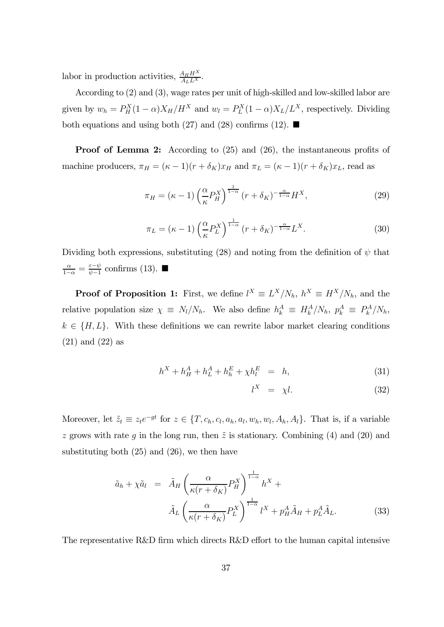labor in production activities,  $\frac{A_H H^X}{A_L L^X}$ .

According to (2) and (3), wage rates per unit of high-skilled and low-skilled labor are given by  $w_h = P_H^X(1-\alpha)X_H/H^X$  and  $w_l = P_L^X(1-\alpha)X_L/L^X$ , respectively. Dividing both equations and using both (27) and (28) confirms (12).  $\blacksquare$ 

**Proof of Lemma 2:** According to (25) and (26), the instantaneous profits of machine producers,  $\pi_H = (\kappa - 1)(r + \delta_K)x_H$  and  $\pi_L = (\kappa - 1)(r + \delta_K)x_L$ , read as

$$
\pi_H = (\kappa - 1) \left(\frac{\alpha}{\kappa} P_H^X\right)^{\frac{1}{1-\alpha}} (r + \delta_K)^{-\frac{\alpha}{1-\alpha}} H^X,\tag{29}
$$

$$
\pi_L = (\kappa - 1) \left(\frac{\alpha}{\kappa} P_L^X\right)^{\frac{1}{1-\alpha}} (r + \delta_K)^{-\frac{\alpha}{1-\alpha}} L^X.
$$
\n(30)

Dividing both expressions, substituting (28) and noting from the definition of  $\psi$  that  $\frac{\alpha}{1-\alpha} = \frac{\varepsilon - \psi}{\psi - 1}$  confirms (13). ■

**Proof of Proposition 1:** First, we define  $l^X \equiv L^X/N_h$ ,  $h^X \equiv H^X/N_h$ , and the relative population size  $\chi \equiv N_l/N_h$ . We also define  $h_k^A \equiv H_k^A/N_h$ ,  $p_k^A \equiv P_k^A/N_h$ ,  $k \in \{H, L\}$ . With these definitions we can rewrite labor market clearing conditions (21) and (22) as

$$
h^X + h_H^A + h_L^A + h_h^E + \chi h_l^E = h,\tag{31}
$$

$$
l^X = \chi l. \tag{32}
$$

Moreover, let  $\tilde{z}_t \equiv z_t e^{-gt}$  for  $z \in \{T, c_h, c_l, a_h, a_l, w_h, w_l, A_h, A_l\}$ . That is, if a variable z grows with rate q in the long run, then  $\tilde{z}$  is stationary. Combining (4) and (20) and substituting both (25) and (26), we then have

$$
\tilde{a}_h + \chi \tilde{a}_l = \tilde{A}_H \left( \frac{\alpha}{\kappa (r + \delta_K)} P_H^X \right)^{\frac{1}{1 - \alpha}} h^X +
$$

$$
\tilde{A}_L \left( \frac{\alpha}{\kappa (r + \delta_K)} P_L^X \right)^{\frac{1}{1 - \alpha}} l^X + p_H^A \tilde{A}_H + p_L^A \tilde{A}_L.
$$
(33)

The representative R&D firm which directs R&D effort to the human capital intensive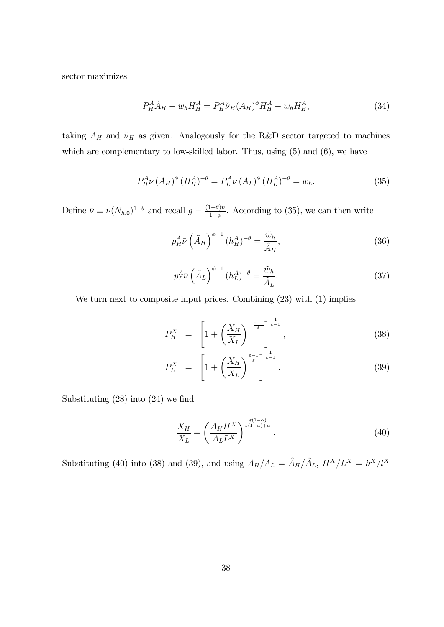sector maximizes

$$
P_H^A \dot{A}_H - w_h H_H^A = P_H^A \tilde{\nu}_H (A_H)^{\phi} H_H^A - w_h H_H^A, \tag{34}
$$

taking  $A_H$  and  $\tilde{\nu}_H$  as given. Analogously for the R&D sector targeted to machines which are complementary to low-skilled labor. Thus, using  $(5)$  and  $(6)$ , we have

$$
P_H^A \nu (A_H)^{\phi} (H_H^A)^{-\theta} = P_L^A \nu (A_L)^{\phi} (H_L^A)^{-\theta} = w_h.
$$
 (35)

Define  $\bar{\nu} \equiv \nu (N_{h,0})^{1-\theta}$  and recall  $g = \frac{(1-\theta)n}{1-\phi}$ . According to (35), we can then write

$$
p_H^A \bar{\nu} \left(\tilde{A}_H\right)^{\phi-1} (h_H^A)^{-\theta} = \frac{\tilde{w}_h}{\tilde{A}_H},\tag{36}
$$

$$
p_L^A \bar{\nu} \left(\tilde{A}_L\right)^{\phi-1} (h_L^A)^{-\theta} = \frac{\tilde{w}_h}{\tilde{A}_L}.\tag{37}
$$

We turn next to composite input prices. Combining  $(23)$  with  $(1)$  implies

$$
P_H^X = \left[1 + \left(\frac{X_H}{X_L}\right)^{-\frac{\varepsilon - 1}{\varepsilon}}\right]_1^{\frac{1}{\varepsilon - 1}},\tag{38}
$$

$$
P_L^X = \left[1 + \left(\frac{X_H}{X_L}\right)^{\frac{\varepsilon - 1}{\varepsilon}}\right]^{\frac{1}{\varepsilon - 1}}.\tag{39}
$$

Substituting (28) into (24) we find

$$
\frac{X_H}{X_L} = \left(\frac{A_H H^X}{A_L L^X}\right)^{\frac{\varepsilon (1-\alpha)}{\varepsilon (1-\alpha)+\alpha}}.\tag{40}
$$

Substituting (40) into (38) and (39), and using  $A_H/A_L = \tilde{A}_H/\tilde{A}_L$ ,  $H^X/L^X = h^X/l^X$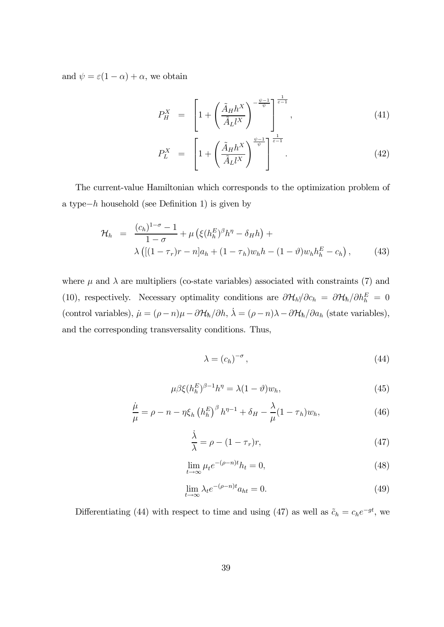and  $\psi = \varepsilon (1 - \alpha) + \alpha$ , we obtain

$$
P_H^X = \left[1 + \left(\frac{\tilde{A}_H h^X}{\tilde{A}_L l^X}\right)^{-\frac{\psi - 1}{\psi}}\right]_1^{\frac{1}{\varepsilon - 1}},\tag{41}
$$

$$
P_L^X = \left[1 + \left(\frac{\tilde{A}_H h^X}{\tilde{A}_L l^X}\right)^{\frac{\psi - 1}{\psi}}\right]^{\frac{1}{\varepsilon - 1}}.\tag{42}
$$

The current-value Hamiltonian which corresponds to the optimization problem of a type $-h$  household (see Definition 1) is given by

$$
\mathcal{H}_h = \frac{(c_h)^{1-\sigma} - 1}{1-\sigma} + \mu \left( \xi (h_h^E)^{\beta} h^{\eta} - \delta_H h \right) + \lambda \left( [(1-\tau_r)r - n]a_h + (1-\tau_h)w_h h - (1-\vartheta)w_h h_h^E - c_h \right), \qquad (43)
$$

where  $\mu$  and  $\lambda$  are multipliers (co-state variables) associated with constraints (7) and (10), respectively. Necessary optimality conditions are  $\partial \mathcal{H}_h / \partial c_h = \partial \mathcal{H}_h / \partial h_h^E = 0$ (control variables),  $\dot{\mu} = (\rho - n)\mu - \partial \mathcal{H}_h / \partial h$ ,  $\dot{\lambda} = (\rho - n)\lambda - \partial \mathcal{H}_h / \partial a_h$  (state variables), and the corresponding transversality conditions. Thus,

$$
\lambda = \left(c_h\right)^{-\sigma},\tag{44}
$$

$$
\mu \beta \xi (h_h^E)^{\beta - 1} h^\eta = \lambda (1 - \vartheta) w_h,\tag{45}
$$

$$
\frac{\dot{\mu}}{\mu} = \rho - n - \eta \xi_h \left( h_h^E \right)^{\beta} h^{\eta - 1} + \delta_H - \frac{\lambda}{\mu} (1 - \tau_h) w_h,\tag{46}
$$

$$
\frac{\dot{\lambda}}{\lambda} = \rho - (1 - \tau_r)r,\tag{47}
$$

$$
\lim_{t \to \infty} \mu_t e^{-(\rho - n)t} h_t = 0,\tag{48}
$$

$$
\lim_{t \to \infty} \lambda_t e^{-(\rho - n)t} a_{ht} = 0.
$$
\n(49)

Differentiating (44) with respect to time and using (47) as well as  $\tilde{c}_h = c_h e^{-gt}$ , we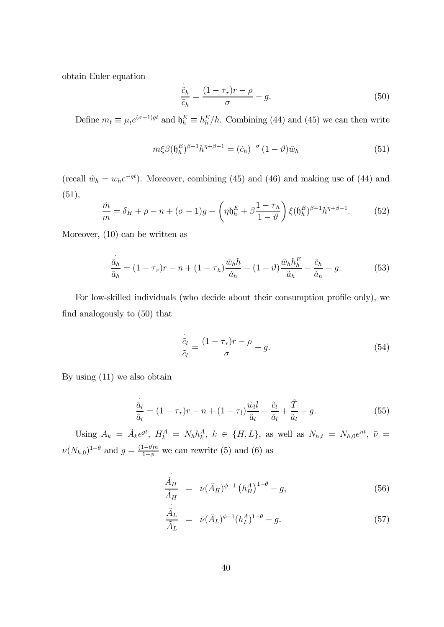obtain Euler equation

$$
\frac{\ddot{\tilde{c}}_h}{\tilde{c}_h} = \frac{(1 - \tau_r)r - \rho}{\sigma} - g.
$$
\n(50)

Define  $m_t \equiv \mu_t e^{(\sigma - 1)gt}$  and  $\mathfrak{h}_h^E \equiv h_h^E/h$ . Combining (44) and (45) we can then write

$$
m\xi\beta(\mathfrak{h}_h^E)^{\beta-1}h^{\eta+\beta-1} = (\tilde{c}_h)^{-\sigma}(1-\vartheta)\tilde{w}_h
$$
\n(51)

(recall  $\tilde{w}_h = w_h e^{-gt}$ ). Moreover, combining (45) and (46) and making use of (44) and (51),

$$
\frac{\dot{m}}{m} = \delta_H + \rho - n + (\sigma - 1)g - \left(\eta \mathfrak{h}_h^E + \beta \frac{1 - \tau_h}{1 - \vartheta}\right) \xi(\mathfrak{h}_h^E)^{\beta - 1} h^{\eta + \beta - 1}.
$$
 (52)

Moreover, (10) can be written as

$$
\frac{\ddot{a}_h}{\tilde{a}_h} = (1 - \tau_r)r - n + (1 - \tau_h)\frac{\tilde{w}_h h}{\tilde{a}_h} - (1 - \vartheta)\frac{\tilde{w}_h h_h^E}{\tilde{a}_h} - \frac{\tilde{c}_h}{\tilde{a}_h} - g.
$$
\n(53)

For low-skilled individuals (who decide about their consumption profile only), we find analogously to (50) that

$$
\frac{\dot{\tilde{c}}_l}{\tilde{c}_l} = \frac{(1 - \tau_r)r - \rho}{\sigma} - g.
$$
\n(54)

By using (11) we also obtain

$$
\frac{\ddot{\tilde{a}}_l}{\tilde{a}_l} = (1 - \tau_r)r - n + (1 - \tau_l)\frac{\tilde{w}_l l}{\tilde{a}_l} - \frac{\tilde{c}_l}{\tilde{a}_l} + \frac{\tilde{T}}{\tilde{a}_l} - g.
$$
\n(55)

Using  $A_k = \tilde{A}_k e^{gt}$ ,  $H_k^A = N_h h_k^A$ ,  $k \in \{H, L\}$ , as well as  $N_{h,t} = N_{h,0} e^{nt}$ ,  $\bar{\nu} =$  $\nu(N_{h,0})^{1-\theta}$  and  $g = \frac{(1-\theta)n}{1-\phi}$  we can rewrite (5) and (6) as

$$
\frac{\tilde{A}_H}{\tilde{A}_H} = \bar{\nu} (\tilde{A}_H)^{\phi - 1} \left( h_H^A \right)^{1 - \theta} - g,\tag{56}
$$

$$
\frac{\tilde{A}_L}{\tilde{A}_L} = \bar{\nu} (\tilde{A}_L)^{\phi - 1} (h_L^A)^{1 - \theta} - g.
$$
\n(57)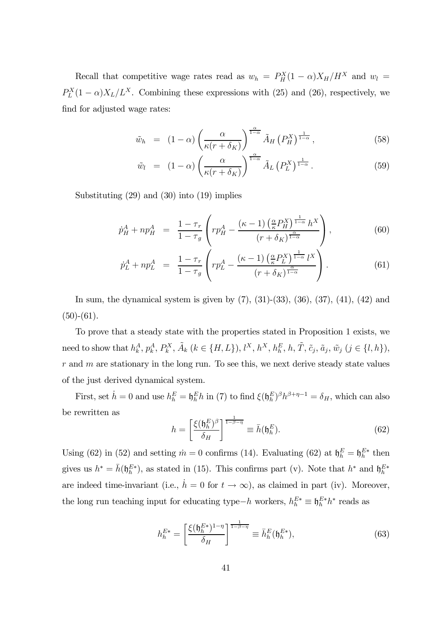Recall that competitive wage rates read as  $w_h = P_H^X(1 - \alpha)X_H/H^X$  and  $w_l =$  $P_L^X(1-\alpha)X_L/L^X$ . Combining these expressions with (25) and (26), respectively, we find for adjusted wage rates:

$$
\tilde{w}_h = (1 - \alpha) \left( \frac{\alpha}{\kappa (r + \delta_K)} \right)^{\frac{\alpha}{1 - \alpha}} \tilde{A}_H \left( P_H^X \right)^{\frac{1}{1 - \alpha}}, \tag{58}
$$

$$
\tilde{w}_l = (1 - \alpha) \left( \frac{\alpha}{\kappa (r + \delta_K)} \right)^{\frac{\alpha}{1 - \alpha}} \tilde{A}_L \left( P_L^X \right)^{\frac{1}{1 - \alpha}}.
$$
\n(59)

Substituting (29) and (30) into (19) implies

$$
\dot{p}_{H}^{A} + np_{H}^{A} = \frac{1 - \tau_{r}}{1 - \tau_{g}} \left( rp_{H}^{A} - \frac{(\kappa - 1) \left( \frac{\alpha}{\kappa} P_{H}^{X} \right)^{\frac{1}{1 - \alpha}} h^{X}}{\left( r + \delta_{K} \right)^{\frac{\alpha}{1 - \alpha}}} \right),\tag{60}
$$

$$
\dot{p}_L^A + np_L^A = \frac{1 - \tau_r}{1 - \tau_g} \left( r p_L^A - \frac{(\kappa - 1) \left( \frac{\alpha}{\kappa} P_L^X \right)^{\frac{1}{1 - \alpha}} l^X}{(r + \delta_K)^{\frac{\alpha}{1 - \alpha}}} \right). \tag{61}
$$

In sum, the dynamical system is given by (7), (31)-(33), (36), (37), (41), (42) and  $(50)-(61)$ .

To prove that a steady state with the properties stated in Proposition 1 exists, we need to show that  $h_k^A, p_k^A, P_k^X, \tilde{A}_k$   $(k \in \{H, L\}),$   $l^X, h^X, h_h^E, h, \tilde{T}, \tilde{c}_j, \tilde{a}_j, \tilde{w}_j$   $(j \in \{l, h\}),$  $r$  and  $m$  are stationary in the long run. To see this, we next derive steady state values of the just derived dynamical system.

First, set  $\dot{h} = 0$  and use  $h_h^E = \mathfrak{h}_h^E h$  in (7) to find  $\xi(\mathfrak{h}_h^E)^{\beta} h^{\beta+\eta-1} = \delta_H$ , which can also be rewritten as

$$
h = \left[\frac{\xi(\mathfrak{h}_h^E)^{\beta}}{\delta_H}\right]^{\frac{1}{1-\beta-\eta}} \equiv \bar{h}(\mathfrak{h}_h^E). \tag{62}
$$

Using (62) in (52) and setting  $\dot{m} = 0$  confirms (14). Evaluating (62) at  $\mathfrak{h}_h^E = \mathfrak{h}_h^{E*}$  then gives us  $h^* = \bar{h}(\mathfrak{h}_h^{E*})$ , as stated in (15). This confirms part (v). Note that  $h^*$  and  $\mathfrak{h}_h^{E*}$ are indeed time-invariant (i.e.,  $\dot{h} = 0$  for  $t \to \infty$ ), as claimed in part (iv). Moreover, the long run teaching input for educating type $-h$  workers,  $h_h^{E*} \equiv \mathfrak{h}_h^{E*} h^*$  reads as

$$
h_h^{E*} = \left[\frac{\xi(\mathfrak{h}_h^{E*})^{1-\eta}}{\delta_H}\right]^{\frac{1}{1-\beta-\eta}} \equiv \bar{h}_h^E(\mathfrak{h}_h^{E*}),\tag{63}
$$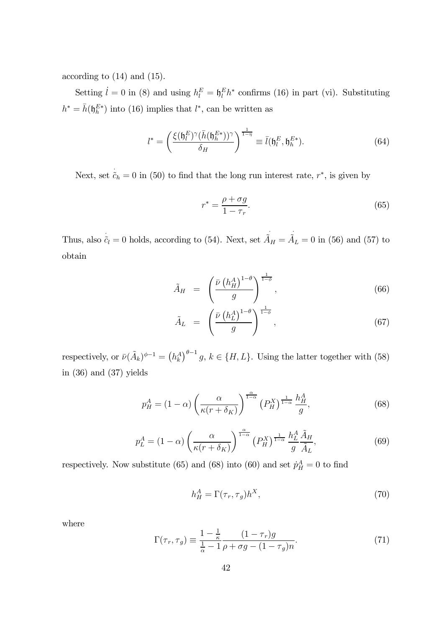according to (14) and (15).

Setting  $\dot{l} = 0$  in (8) and using  $h_l^E = \mathfrak{h}_l^E h^*$  confirms (16) in part (vi). Substituting  $h^* = \bar{h}(\mathfrak{h}_h^{E*})$  into (16) implies that  $l^*$ , can be written as

$$
l^* = \left(\frac{\xi(\mathfrak{h}_l^E)^\gamma(\bar{h}(\mathfrak{h}_h^{E*}))^\gamma}{\delta_H}\right)^{\frac{1}{1-\eta}} \equiv \bar{l}(\mathfrak{h}_l^E, \mathfrak{h}_h^{E*}).\tag{64}
$$

Next, set  $\tilde{c}_h = 0$  in (50) to find that the long run interest rate,  $r^*$ , is given by

$$
r^* = \frac{\rho + \sigma g}{1 - \tau_r}.\tag{65}
$$

Thus, also  $\tilde{c}_l = 0$  holds, according to (54). Next, set  $\tilde{A}_H = \tilde{A}_L = 0$  in (56) and (57) to obtain

$$
\tilde{A}_H = \left(\frac{\bar{\nu} \left(h_H^A\right)^{1-\theta}}{g}\right)^{\frac{1}{1-\phi}},\tag{66}
$$

$$
\tilde{A}_L = \left(\frac{\bar{\nu} \left(h_L^A\right)^{1-\theta}}{g}\right)^{\frac{1}{1-\phi}},\tag{67}
$$

respectively, or  $\bar{\nu}(\tilde{A}_k)^{\phi-1} = (h_k^A)^{\theta-1} g$ ,  $k \in \{H, L\}$ . Using the latter together with (58) in (36) and (37) yields

$$
p_H^A = (1 - \alpha) \left(\frac{\alpha}{\kappa (r + \delta_K)}\right)^{\frac{\alpha}{1 - \alpha}} \left(P_H^X\right)^{\frac{1}{1 - \alpha}} \frac{h_H^A}{g},\tag{68}
$$

$$
p_L^A = (1 - \alpha) \left( \frac{\alpha}{\kappa (r + \delta_K)} \right)^{\frac{\alpha}{1 - \alpha}} \left( P_H^X \right)^{\frac{1}{1 - \alpha}} \frac{h_L^A}{g} \frac{\tilde{A}_H}{\tilde{A}_L},\tag{69}
$$

respectively. Now substitute (65) and (68) into (60) and set  $\dot{p}_H^A = 0$  to find

$$
h_H^A = \Gamma(\tau_r, \tau_g) h^X,\tag{70}
$$

where

$$
\Gamma(\tau_r, \tau_g) \equiv \frac{1 - \frac{1}{\kappa}}{\frac{1}{\alpha} - 1} \frac{(1 - \tau_r)g}{\rho + \sigma g - (1 - \tau_g)n}.
$$
\n(71)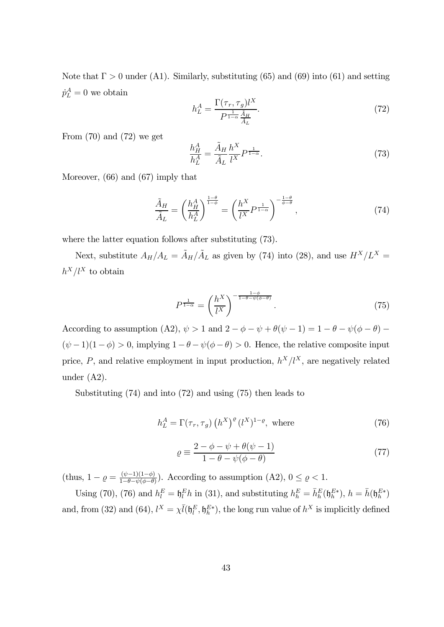Note that  $\Gamma > 0$  under (A1). Similarly, substituting (65) and (69) into (61) and setting  $\dot{p}_L^A = 0$  we obtain

$$
h_L^A = \frac{\Gamma(\tau_r, \tau_g) l^X}{P^{\frac{1}{1-\alpha}} \frac{\tilde{A}_H}{\tilde{A}_L}}.\tag{72}
$$

From  $(70)$  and  $(72)$  we get

$$
\frac{h_H^A}{h_L^A} = \frac{\tilde{A}_H}{\tilde{A}_L} \frac{h^X}{l^X} P^{\frac{1}{1-\alpha}}.
$$
\n
$$
(73)
$$

Moreover, (66) and (67) imply that

$$
\frac{\tilde{A}_H}{\tilde{A}_L} = \left(\frac{h_H^A}{h_L^A}\right)^{\frac{1-\theta}{1-\phi}} = \left(\frac{h^X}{l^X}P^{\frac{1}{1-\alpha}}\right)^{-\frac{1-\theta}{\phi-\theta}},\tag{74}
$$

where the latter equation follows after substituting (73).

Next, substitute  $A_H/A_L = \tilde{A}_H/\tilde{A}_L$  as given by (74) into (28), and use  $H^X/L^X =$  $h^X/l^X$  to obtain

$$
P^{\frac{1}{1-\alpha}} = \left(\frac{h^X}{l^X}\right)^{-\frac{1-\phi}{1-\theta-\psi(\phi-\theta)}}.\tag{75}
$$

According to assumption (A2),  $\psi > 1$  and  $2 - \phi - \psi + \theta(\psi - 1) = 1 - \theta - \psi(\phi - \theta)$  $(\psi - 1)(1 - \phi) > 0$ , implying  $1 - \theta - \psi(\phi - \theta) > 0$ . Hence, the relative composite input price,  $P$ , and relative employment in input production,  $h^X/l^X$ , are negatively related under (A2).

Substituting (74) and into (72) and using (75) then leads to

$$
h_L^A = \Gamma(\tau_r, \tau_g) \left( h^X \right)^{\varrho} (l^X)^{1-\varrho}, \text{ where}
$$
\n(76)

$$
\varrho \equiv \frac{2 - \phi - \psi + \theta(\psi - 1)}{1 - \theta - \psi(\phi - \theta)}
$$
\n(77)

(thus,  $1 - \varrho = \frac{(\psi - 1)(1 - \varphi)}{1 - \theta - \psi(\varphi - \theta)}$ ). According to assumption (A2),  $0 \le \varrho < 1$ .

Using (70), (76) and  $h_l^E = \mathfrak{h}_l^E h$  in (31), and substituting  $h_h^E = \bar{h}_h^E(\mathfrak{h}_h^{E*})$ ,  $h = \bar{h}(\mathfrak{h}_h^{E*})$ and, from (32) and (64),  $l^X = \chi \bar{l}(\mathfrak{h}_l^E, \mathfrak{h}_h^{E*})$ , the long run value of  $h^X$  is implicitly defined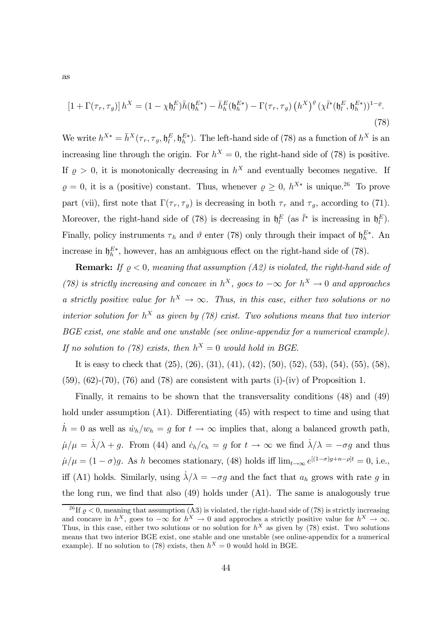$$
\left[1+\Gamma(\tau_r,\tau_g)\right]h^X = \left(1-\chi\mathfrak{h}_l^E\right)\bar{h}(\mathfrak{h}_h^{E*}) - \bar{h}_h^E(\mathfrak{h}_h^{E*}) - \Gamma(\tau_r,\tau_g)\left(h^X\right)^{\varrho}\left(\chi\bar{l}^*(\mathfrak{h}_l^E,\mathfrak{h}_h^{E*})\right)^{1-\varrho}.\tag{78}
$$

We write  $h^{X*} = \bar{h}^X(\tau_r, \tau_g, \mathfrak{h}_h^E, \mathfrak{h}_h^{E*})$ . The left-hand side of (78) as a function of  $h^X$  is an increasing line through the origin. For  $h^X = 0$ , the right-hand side of (78) is positive. If  $\rho > 0$ , it is monotonically decreasing in  $h^X$  and eventually becomes negative. If  $\varrho = 0$ , it is a (positive) constant. Thus, whenever  $\varrho \geq 0$ ,  $h^{X*}$  is unique.<sup>26</sup> To prove part (vii), first note that  $\Gamma(\tau_r, \tau_g)$  is decreasing in both  $\tau_r$  and  $\tau_g$ , according to (71). Moreover, the right-hand side of (78) is decreasing in  $\mathfrak{h}_l^E$  (as  $\bar{l}^*$  is increasing in  $\mathfrak{h}_l^E$ ). Finally, policy instruments  $\tau_h$  and  $\vartheta$  enter (78) only through their impact of  $\mathfrak{h}_h^{E*}$ . An increase in  $\mathfrak{h}_h^{E*}$ , however, has an ambiguous effect on the right-hand side of (78).

**Remark:** If  $\rho < 0$ , meaning that assumption (A2) is violated, the right-hand side of (78) is strictly increasing and concave in  $h^X$ , goes to  $-\infty$  for  $h^X \to 0$  and approaches a strictly positive value for  $h^X \to \infty$ . Thus, in this case, either two solutions or no interior solution for  $h^X$  as given by (78) exist. Two solutions means that two interior BGE exist, one stable and one unstable (see online-appendix for a numerical example). If no solution to (78) exists, then  $h^X = 0$  would hold in BGE.

It is easy to check that (25), (26), (31), (41), (42), (50), (52), (53), (54), (55), (58), (59), (62)-(70), (76) and (78) are consistent with parts (i)-(iv) of Proposition 1.

Finally, it remains to be shown that the transversality conditions (48) and (49) hold under assumption (A1). Differentiating (45) with respect to time and using that  $h = 0$  as well as  $\dot{w}_h/w_h = g$  for  $t \to \infty$  implies that, along a balanced growth path,  $\dot{\mu}/\mu = \dot{\lambda}/\lambda + g$ . From (44) and  $\dot{c}_h/c_h = g$  for  $t \to \infty$  we find  $\dot{\lambda}/\lambda = -\sigma g$  and thus  $\mu/\mu = (1 - \sigma)g$ . As h becomes stationary, (48) holds iff  $\lim_{t\to\infty} e^{[(1-\sigma)g+n-\rho]t} = 0$ , i.e., iff (A1) holds. Similarly, using  $\lambda/\lambda = -\sigma q$  and the fact that  $a_h$  grows with rate q in the long run, we find that also (49) holds under (A1). The same is analogously true

as

<sup>&</sup>lt;sup>26</sup> If  $\rho < 0$ , meaning that assumption (A3) is violated, the right-hand side of (78) is strictly increasing and concave in  $h^X$ , goes to  $-\infty$  for  $h^X \to 0$  and approches a strictly positive value for  $h^X \to \infty$ . Thus, in this case, either two solutions or no solution for  $h^X$  as given by (78) exist. Two solutions means that two interior BGE exist, one stable and one unstable (see online-appendix for a numerical example). If no solution to (78) exists, then  $h^X = 0$  would hold in BGE.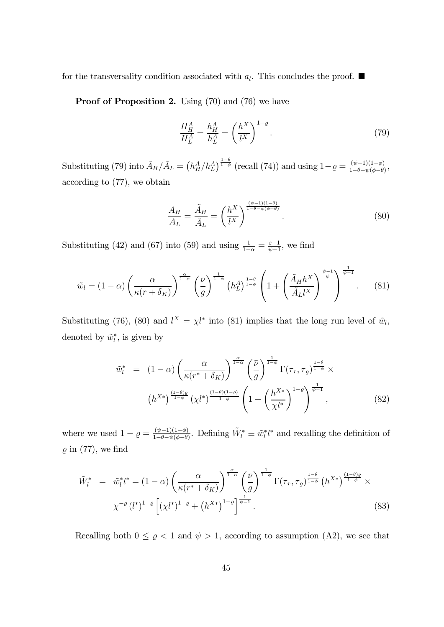for the transversality condition associated with  $a_l$ . This concludes the proof.  $\blacksquare$ 

Proof of Proposition 2. Using (70) and (76) we have

$$
\frac{H_H^A}{H_L^A} = \frac{h_H^A}{h_L^A} = \left(\frac{h^X}{l^X}\right)^{1-\varrho}.
$$
\n(79)

Substituting (79) into  $\tilde{A}_H/\tilde{A}_L = (h_H^A/h_L^A)^{\frac{1-\theta}{1-\phi}}$  (recall (74)) and using  $1-\varrho = \frac{(\psi-1)(1-\phi)}{1-\theta-\psi(\phi-\theta)}$ , according to (77), we obtain

$$
\frac{A_H}{A_L} = \frac{\tilde{A}_H}{\tilde{A}_L} = \left(\frac{h^X}{l^X}\right)^{\frac{(\psi - 1)(1-\theta)}{1-\theta - \psi(\phi - \theta)}}.\tag{80}
$$

Substituting (42) and (67) into (59) and using  $\frac{1}{1-\alpha} = \frac{\varepsilon-1}{\psi-1}$ , we find

$$
\tilde{w}_l = (1 - \alpha) \left( \frac{\alpha}{\kappa (r + \delta_K)} \right)^{\frac{\alpha}{1 - \alpha}} \left( \frac{\bar{\nu}}{g} \right)^{\frac{1}{1 - \phi}} \left( h_L^A \right)^{\frac{1 - \theta}{1 - \phi}} \left( 1 + \left( \frac{\tilde{A}_H h^X}{\tilde{A}_L l^X} \right)^{\frac{\psi - 1}{\psi}} \right)^{\frac{1}{\psi - 1}}.
$$
 (81)

Substituting (76), (80) and  $l^X = \chi l^*$  into (81) implies that the long run level of  $\tilde{w}_l$ , denoted by  $\tilde{w}_l^*$ , is given by

$$
\tilde{w}_l^* = (1 - \alpha) \left( \frac{\alpha}{\kappa (r^* + \delta_K)} \right)^{\frac{\alpha}{1 - \alpha}} \left( \frac{\bar{\nu}}{g} \right)^{\frac{1}{1 - \phi}} \Gamma(\tau_r, \tau_g)^{\frac{1 - \theta}{1 - \phi}} \times \n\left( h^{X*} \right)^{\frac{(1 - \theta)\varrho}{1 - \phi}} \left( \chi l^* \right)^{\frac{(1 - \theta)(1 - \varrho)}{1 - \phi}} \left( 1 + \left( \frac{h^{X*}}{\chi l^*} \right)^{1 - \varrho} \right)^{\frac{1}{\psi - 1}},
$$
\n(82)

where we used  $1 - \varrho = \frac{(\psi - 1)(1 - \varphi)}{1 - \theta - \psi(\varphi - \theta)}$ . Defining  $\tilde{W}_l^* \equiv \tilde{w}_l^* l^*$  and recalling the definition of  $\rho$  in (77), we find

$$
\tilde{W}_{l}^{*} = \tilde{w}_{l}^{*} l^{*} = (1 - \alpha) \left( \frac{\alpha}{\kappa (r^{*} + \delta_{K})} \right)^{\frac{\alpha}{1 - \alpha}} \left( \frac{\bar{\nu}}{g} \right)^{\frac{1}{1 - \phi}} \Gamma(\tau_{r}, \tau_{g})^{\frac{1 - \theta}{1 - \phi}} \left( h^{X*} \right)^{\frac{(1 - \theta)\varrho}{1 - \phi}} \times \chi^{-\varrho} \left( l^{*} \right)^{1 - \varrho} \left[ \left( \chi l^{*} \right)^{1 - \varrho} + \left( h^{X*} \right)^{1 - \varrho} \right]^{\frac{1}{\psi - 1}}. \tag{83}
$$

Recalling both  $0 \le \varrho < 1$  and  $\psi > 1$ , according to assumption (A2), we see that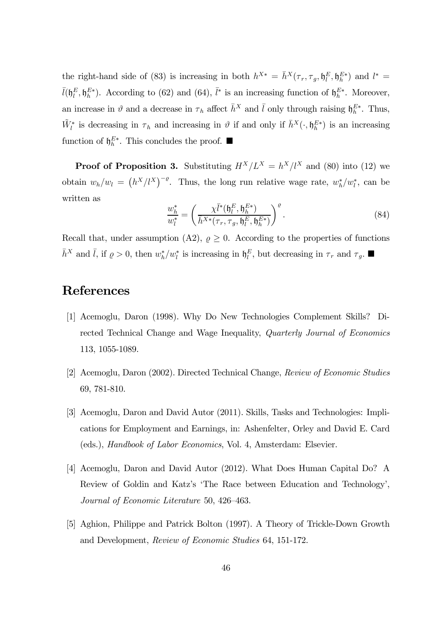the right-hand side of (83) is increasing in both  $h^{X*} = \bar{h}^X(\tau_r, \tau_g, \mathfrak{h}_l^E, \mathfrak{h}_h^{E*})$  and  $l^* =$  $\bar{l}(\mathfrak{h}_l^E, \mathfrak{h}_h^{E*})$ . According to (62) and (64),  $\bar{l}^*$  is an increasing function of  $\mathfrak{h}_h^{E*}$ . Moreover, an increase in  $\vartheta$  and a decrease in  $\tau_h$  affect  $\bar{h}^X$  and  $\bar{l}$  only through raising  $\mathfrak{h}_h^{E*}$ . Thus,  $\tilde{W}_l^*$  is decreasing in  $\tau_h$  and increasing in  $\vartheta$  if and only if  $\bar{h}^X(\cdot, \mathfrak{h}_h^{E*})$  is an increasing function of  $\mathfrak{h}_h^{E*}$ . This concludes the proof.  $\blacksquare$ 

**Proof of Proposition 3.** Substituting  $H^X/L^X = h^X/l^X$  and (80) into (12) we obtain  $w_h/w_l = (h^X/l^X)^{-\varrho}$ . Thus, the long run relative wage rate,  $w_h^*/w_l^*$ , can be written as

$$
\frac{w_h^*}{w_l^*} = \left(\frac{\chi \bar{l}^*(\mathfrak{h}_l^E, \mathfrak{h}_h^{E*})}{\bar{h}^{X*}(\tau_r, \tau_g, \mathfrak{h}_l^E, \mathfrak{h}_h^{E*})}\right)^{\varrho}.
$$
\n(84)

Recall that, under assumption (A2),  $\rho \geq 0$ . According to the properties of functions  $\bar{h}^X$  and  $\bar{l}$ , if  $\rho > 0$ , then  $w_h^*/w_l^*$  is increasing in  $\mathfrak{h}_l^E$ , but decreasing in  $\tau_r$  and  $\tau_g$ .

### References

- [1] Acemoglu, Daron (1998). Why Do New Technologies Complement Skills? Directed Technical Change and Wage Inequality, Quarterly Journal of Economics 113, 1055-1089.
- [2] Acemoglu, Daron (2002). Directed Technical Change, Review of Economic Studies 69, 781-810.
- [3] Acemoglu, Daron and David Autor (2011). Skills, Tasks and Technologies: Implications for Employment and Earnings, in: Ashenfelter, Orley and David E. Card (eds.), Handbook of Labor Economics, Vol. 4, Amsterdam: Elsevier.
- [4] Acemoglu, Daron and David Autor (2012). What Does Human Capital Do? A Review of Goldin and Katz's 'The Race between Education and Technology', Journal of Economic Literature 50, 426—463.
- [5] Aghion, Philippe and Patrick Bolton (1997). A Theory of Trickle-Down Growth and Development, Review of Economic Studies 64, 151-172.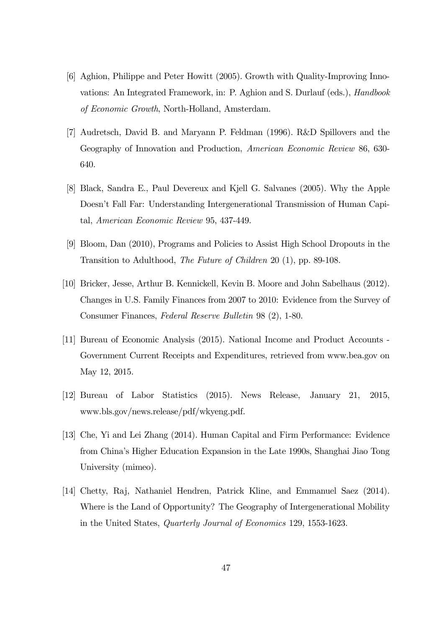- [6] Aghion, Philippe and Peter Howitt (2005). Growth with Quality-Improving Innovations: An Integrated Framework, in: P. Aghion and S. Durlauf (eds.), Handbook of Economic Growth, North-Holland, Amsterdam.
- [7] Audretsch, David B. and Maryann P. Feldman (1996). R&D Spillovers and the Geography of Innovation and Production, American Economic Review 86, 630- 640.
- [8] Black, Sandra E., Paul Devereux and Kjell G. Salvanes (2005). Why the Apple Doesn't Fall Far: Understanding Intergenerational Transmission of Human Capital, American Economic Review 95, 437-449.
- [9] Bloom, Dan (2010), Programs and Policies to Assist High School Dropouts in the Transition to Adulthood, The Future of Children 20 (1), pp. 89-108.
- [10] Bricker, Jesse, Arthur B. Kennickell, Kevin B. Moore and John Sabelhaus (2012). Changes in U.S. Family Finances from 2007 to 2010: Evidence from the Survey of Consumer Finances, Federal Reserve Bulletin 98 (2), 1-80.
- [11] Bureau of Economic Analysis (2015). National Income and Product Accounts Government Current Receipts and Expenditures, retrieved from www.bea.gov on May 12, 2015.
- [12] Bureau of Labor Statistics (2015). News Release, January 21, 2015, www.bls.gov/news.release/pdf/wkyeng.pdf.
- [13] Che, Yi and Lei Zhang (2014). Human Capital and Firm Performance: Evidence from China's Higher Education Expansion in the Late 1990s, Shanghai Jiao Tong University (mimeo).
- [14] Chetty, Raj, Nathaniel Hendren, Patrick Kline, and Emmanuel Saez (2014). Where is the Land of Opportunity? The Geography of Intergenerational Mobility in the United States, Quarterly Journal of Economics 129, 1553-1623.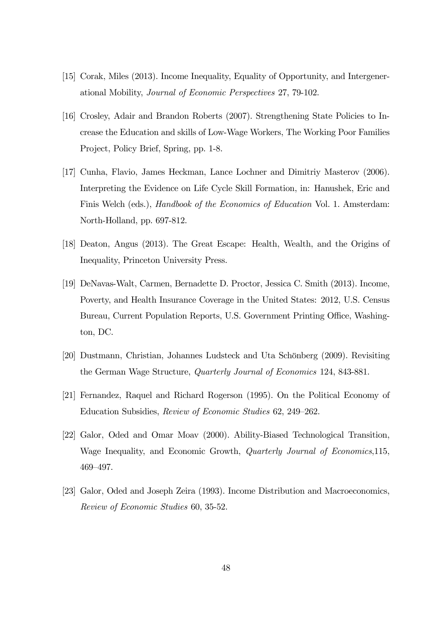- [15] Corak, Miles (2013). Income Inequality, Equality of Opportunity, and Intergenerational Mobility, Journal of Economic Perspectives 27, 79-102.
- [16] Crosley, Adair and Brandon Roberts (2007). Strengthening State Policies to Increase the Education and skills of Low-Wage Workers, The Working Poor Families Project, Policy Brief, Spring, pp. 1-8.
- [17] Cunha, Flavio, James Heckman, Lance Lochner and Dimitriy Masterov (2006). Interpreting the Evidence on Life Cycle Skill Formation, in: Hanushek, Eric and Finis Welch (eds.), Handbook of the Economics of Education Vol. 1. Amsterdam: North-Holland, pp. 697-812.
- [18] Deaton, Angus (2013). The Great Escape: Health, Wealth, and the Origins of Inequality, Princeton University Press.
- [19] DeNavas-Walt, Carmen, Bernadette D. Proctor, Jessica C. Smith (2013). Income, Poverty, and Health Insurance Coverage in the United States: 2012, U.S. Census Bureau, Current Population Reports, U.S. Government Printing Office, Washington, DC.
- [20] Dustmann, Christian, Johannes Ludsteck and Uta Schönberg (2009). Revisiting the German Wage Structure, Quarterly Journal of Economics 124, 843-881.
- [21] Fernandez, Raquel and Richard Rogerson (1995). On the Political Economy of Education Subsidies, Review of Economic Studies 62, 249—262.
- [22] Galor, Oded and Omar Moav (2000). Ability-Biased Technological Transition, Wage Inequality, and Economic Growth, Quarterly Journal of Economics,115, 469—497.
- [23] Galor, Oded and Joseph Zeira (1993). Income Distribution and Macroeconomics, Review of Economic Studies 60, 35-52.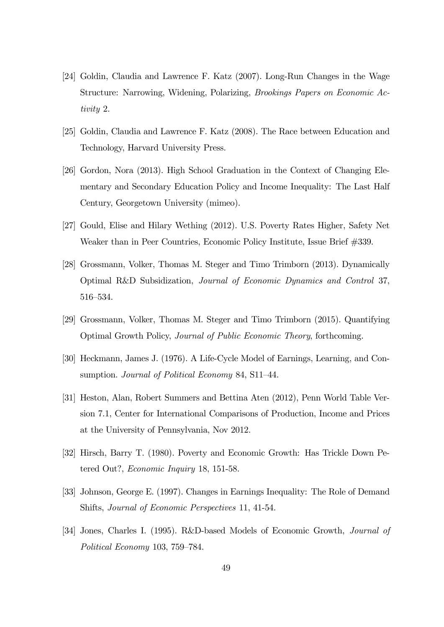- [24] Goldin, Claudia and Lawrence F. Katz (2007). Long-Run Changes in the Wage Structure: Narrowing, Widening, Polarizing, Brookings Papers on Economic Activity 2.
- [25] Goldin, Claudia and Lawrence F. Katz (2008). The Race between Education and Technology, Harvard University Press.
- [26] Gordon, Nora (2013). High School Graduation in the Context of Changing Elementary and Secondary Education Policy and Income Inequality: The Last Half Century, Georgetown University (mimeo).
- [27] Gould, Elise and Hilary Wething (2012). U.S. Poverty Rates Higher, Safety Net Weaker than in Peer Countries, Economic Policy Institute, Issue Brief #339.
- [28] Grossmann, Volker, Thomas M. Steger and Timo Trimborn (2013). Dynamically Optimal R&D Subsidization, Journal of Economic Dynamics and Control 37, 516—534.
- [29] Grossmann, Volker, Thomas M. Steger and Timo Trimborn (2015). Quantifying Optimal Growth Policy, Journal of Public Economic Theory, forthcoming.
- [30] Heckmann, James J. (1976). A Life-Cycle Model of Earnings, Learning, and Consumption. Journal of Political Economy 84, S11-44.
- [31] Heston, Alan, Robert Summers and Bettina Aten (2012), Penn World Table Version 7.1, Center for International Comparisons of Production, Income and Prices at the University of Pennsylvania, Nov 2012.
- [32] Hirsch, Barry T. (1980). Poverty and Economic Growth: Has Trickle Down Petered Out?, Economic Inquiry 18, 151-58.
- [33] Johnson, George E. (1997). Changes in Earnings Inequality: The Role of Demand Shifts, Journal of Economic Perspectives 11, 41-54.
- [34] Jones, Charles I. (1995). R&D-based Models of Economic Growth, Journal of Political Economy 103, 759—784.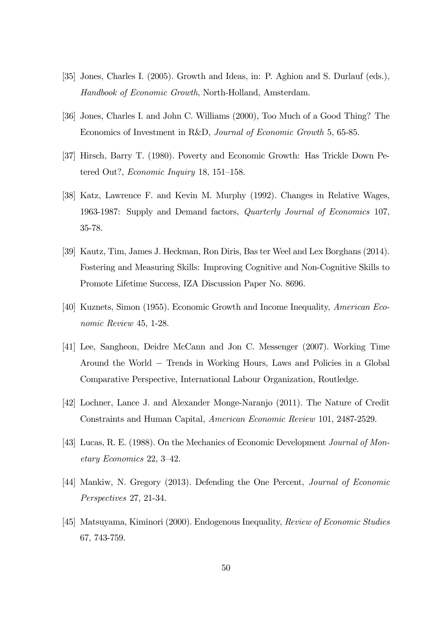- [35] Jones, Charles I. (2005). Growth and Ideas, in: P. Aghion and S. Durlauf (eds.), Handbook of Economic Growth, North-Holland, Amsterdam.
- [36] Jones, Charles I. and John C. Williams (2000), Too Much of a Good Thing? The Economics of Investment in R&D, Journal of Economic Growth 5, 65-85.
- [37] Hirsch, Barry T. (1980). Poverty and Economic Growth: Has Trickle Down Petered Out?, Economic Inquiry 18, 151—158.
- [38] Katz, Lawrence F. and Kevin M. Murphy (1992). Changes in Relative Wages, 1963-1987: Supply and Demand factors, Quarterly Journal of Economics 107, 35-78.
- [39] Kautz, Tim, James J. Heckman, Ron Diris, Bas ter Weel and Lex Borghans (2014). Fostering and Measuring Skills: Improving Cognitive and Non-Cognitive Skills to Promote Lifetime Success, IZA Discussion Paper No. 8696.
- [40] Kuznets, Simon (1955). Economic Growth and Income Inequality, American Economic Review 45, 1-28.
- [41] Lee, Sangheon, Deidre McCann and Jon C. Messenger (2007). Working Time Around the World − Trends in Working Hours, Laws and Policies in a Global Comparative Perspective, International Labour Organization, Routledge.
- [42] Lochner, Lance J. and Alexander Monge-Naranjo (2011). The Nature of Credit Constraints and Human Capital, American Economic Review 101, 2487-2529.
- [43] Lucas, R. E. (1988). On the Mechanics of Economic Development Journal of Monetary Economics 22, 3—42.
- [44] Mankiw, N. Gregory (2013). Defending the One Percent, Journal of Economic Perspectives 27, 21-34.
- [45] Matsuyama, Kiminori (2000). Endogenous Inequality, Review of Economic Studies 67, 743-759.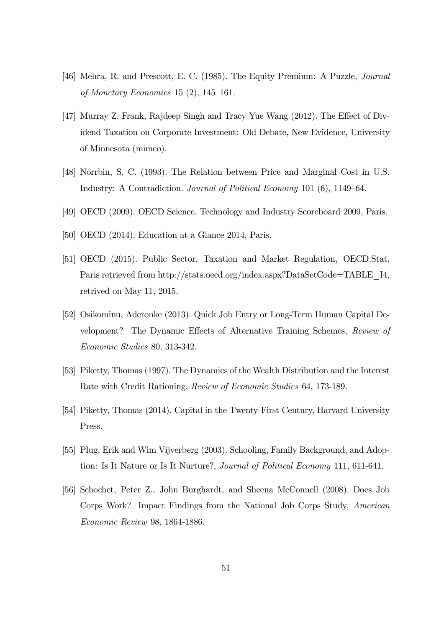- [46] Mehra, R. and Prescott, E. C. (1985). The Equity Premium: A Puzzle, Journal of Monetary Economics 15 (2), 145—161.
- [47] Murray Z. Frank, Rajdeep Singh and Tracy Yue Wang (2012). The Effect of Dividend Taxation on Corporate Investment: Old Debate, New Evidence, University of Minnesota (mimeo).
- [48] Norrbin, S. C. (1993). The Relation between Price and Marginal Cost in U.S. Industry: A Contradiction. Journal of Political Economy 101 (6), 1149—64.
- [49] OECD (2009). OECD Science, Technology and Industry Scoreboard 2009, Paris.
- [50] OECD (2014). Education at a Glance 2014, Paris.
- [51] OECD (2015). Public Sector, Taxation and Market Regulation, OECD.Stat, Paris retrieved from http://stats.oecd.org/index.aspx?DataSetCode=TABLE\_I4, retrived on May 11, 2015.
- [52] Osikominu, Aderonke (2013). Quick Job Entry or Long-Term Human Capital Development? The Dynamic Effects of Alternative Training Schemes, Review of Economic Studies 80, 313-342.
- [53] Piketty, Thomas (1997). The Dynamics of the Wealth Distribution and the Interest Rate with Credit Rationing, Review of Economic Studies 64, 173-189.
- [54] Piketty, Thomas (2014). Capital in the Twenty-First Century, Harvard University Press.
- [55] Plug, Erik and Wim Vijverberg (2003). Schooling, Family Background, and Adoption: Is It Nature or Is It Nurture?, Journal of Political Economy 111, 611-641.
- [56] Schochet, Peter Z., John Burghardt, and Sheena McConnell (2008). Does Job Corps Work? Impact Findings from the National Job Corps Study, American Economic Review 98, 1864-1886.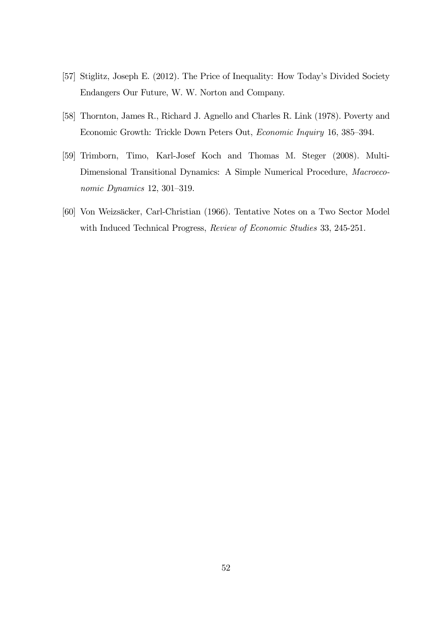- [57] Stiglitz, Joseph E. (2012). The Price of Inequality: How Today's Divided Society Endangers Our Future, W. W. Norton and Company.
- [58] Thornton, James R., Richard J. Agnello and Charles R. Link (1978). Poverty and Economic Growth: Trickle Down Peters Out, Economic Inquiry 16, 385—394.
- [59] Trimborn, Timo, Karl-Josef Koch and Thomas M. Steger (2008). Multi-Dimensional Transitional Dynamics: A Simple Numerical Procedure, Macroeconomic Dynamics 12, 301—319.
- [60] Von Weizsäcker, Carl-Christian (1966). Tentative Notes on a Two Sector Model with Induced Technical Progress, Review of Economic Studies 33, 245-251.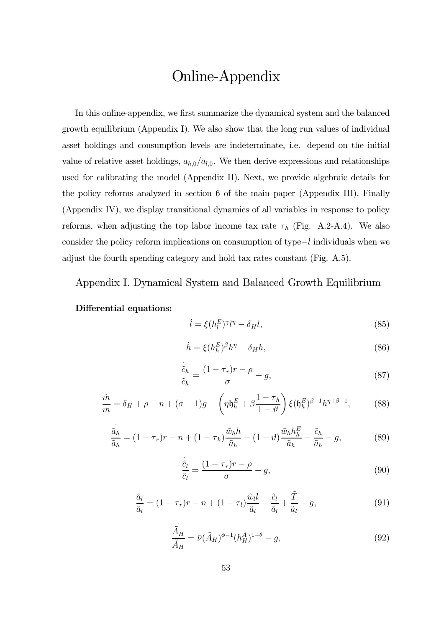# Online-Appendix

In this online-appendix, we first summarize the dynamical system and the balanced growth equilibrium (Appendix I). We also show that the long run values of individual asset holdings and consumption levels are indeterminate, i.e. depend on the initial value of relative asset holdings,  $a_{h,0}/a_{l,0}$ . We then derive expressions and relationships used for calibrating the model (Appendix II). Next, we provide algebraic details for the policy reforms analyzed in section 6 of the main paper (Appendix III). Finally (Appendix IV), we display transitional dynamics of all variables in response to policy reforms, when adjusting the top labor income tax rate  $\tau_h$  (Fig. A.2-A.4). We also consider the policy reform implications on consumption of type−l individuals when we adjust the fourth spending category and hold tax rates constant (Fig. A.5).

### Appendix I. Dynamical System and Balanced Growth Equilibrium

#### Differential equations:

$$
\dot{l} = \xi (h_l^E)^\gamma l^\eta - \delta_H l,\tag{85}
$$

$$
\dot{h} = \xi (h_h^E)^{\beta} h^{\eta} - \delta_H h,\tag{86}
$$

$$
\frac{\dot{\tilde{c}}_h}{\tilde{c}_h} = \frac{(1 - \tau_r)r - \rho}{\sigma} - g,\tag{87}
$$

$$
\frac{\dot{m}}{m} = \delta_H + \rho - n + (\sigma - 1)g - \left(\eta \mathfrak{h}_h^E + \beta \frac{1 - \tau_h}{1 - \vartheta}\right) \xi(\mathfrak{h}_h^E)^{\beta - 1} h^{\eta + \beta - 1},\tag{88}
$$

$$
\frac{\ddot{a}_h}{\tilde{a}_h} = (1 - \tau_r)r - n + (1 - \tau_h)\frac{\tilde{w}_h h}{\tilde{a}_h} - (1 - \vartheta)\frac{\tilde{w}_h h_h^E}{\tilde{a}_h} - \frac{\tilde{c}_h}{\tilde{a}_h} - g,\tag{89}
$$

$$
\frac{\dot{\tilde{c}}_l}{\tilde{c}_l} = \frac{(1 - \tau_r)r - \rho}{\sigma} - g,\tag{90}
$$

$$
\frac{\dot{\tilde{a}}_l}{\tilde{a}_l} = (1 - \tau_r)r - n + (1 - \tau_l)\frac{\tilde{w}_l l}{\tilde{a}_l} - \frac{\tilde{c}_l}{\tilde{a}_l} + \frac{\tilde{T}}{\tilde{a}_l} - g,\tag{91}
$$

$$
\frac{\tilde{A}_H}{\tilde{A}_H} = \bar{\nu} (\tilde{A}_H)^{\phi - 1} (h_H^A)^{1 - \theta} - g,\tag{92}
$$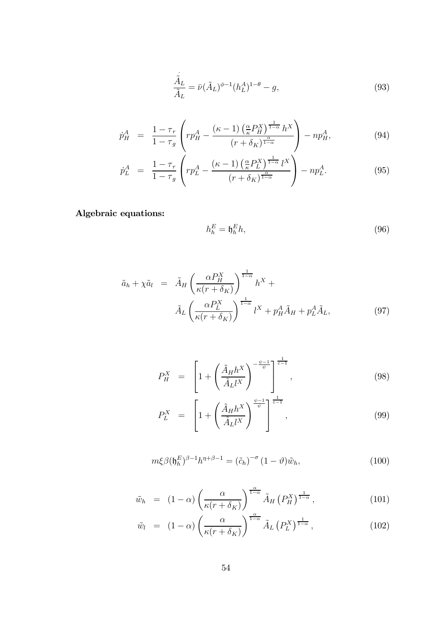$$
\frac{\ddot{\hat{A}}_L}{\tilde{A}_L} = \bar{\nu} (\tilde{A}_L)^{\phi - 1} (h_L^A)^{1 - \theta} - g,\tag{93}
$$

$$
\dot{p}_H^A = \frac{1 - \tau_r}{1 - \tau_g} \left( r p_H^A - \frac{(\kappa - 1) \left( \frac{\alpha}{\kappa} P_H^X \right)^{\frac{1}{1 - \alpha}} h^X}{(r + \delta_K)^{\frac{\alpha}{1 - \alpha}}} \right) - n p_H^A, \tag{94}
$$

$$
\dot{p}_L^A = \frac{1 - \tau_r}{1 - \tau_g} \left( r p_L^A - \frac{(\kappa - 1) \left( \frac{\alpha}{\kappa} P_L^X \right)^{\frac{1}{1 - \alpha}} l^X}{(r + \delta_K)^{\frac{\alpha}{1 - \alpha}}} \right) - n p_L^A. \tag{95}
$$

Algebraic equations:

$$
h_h^E = \mathfrak{h}_h^E h,\tag{96}
$$

$$
\tilde{a}_h + \chi \tilde{a}_l = \tilde{A}_H \left( \frac{\alpha P_H^X}{\kappa (r + \delta_K)} \right)^{\frac{1}{1 - \alpha}} h^X +
$$

$$
\tilde{A}_L \left( \frac{\alpha P_L^X}{\kappa (r + \delta_K)} \right)^{\frac{1}{1 - \alpha}} l^X + p_H^A \tilde{A}_H + p_L^A \tilde{A}_L, \tag{97}
$$

$$
P_H^X = \left[1 + \left(\frac{\tilde{A}_H h^X}{\tilde{A}_L l^X}\right)^{-\frac{\psi - 1}{\psi}}\right]^{\frac{1}{\varepsilon - 1}},\tag{98}
$$

$$
P_L^X = \left[1 + \left(\frac{\tilde{A}_H h^X}{\tilde{A}_L l^X}\right)^{\frac{\psi - 1}{\psi}}\right]^{\frac{1}{\varepsilon - 1}},\tag{99}
$$

$$
m\xi\beta(\mathfrak{h}_h^E)^{\beta-1}h^{\eta+\beta-1} = (\tilde{c}_h)^{-\sigma}(1-\vartheta)\tilde{w}_h, \qquad (100)
$$

$$
\tilde{w}_h = (1 - \alpha) \left( \frac{\alpha}{\kappa (r + \delta_K)} \right)^{\frac{\alpha}{1 - \alpha}} \tilde{A}_H \left( P_H^X \right)^{\frac{1}{1 - \alpha}}, \tag{101}
$$

$$
\tilde{w}_l = (1 - \alpha) \left( \frac{\alpha}{\kappa (r + \delta_K)} \right)^{\frac{\alpha}{1 - \alpha}} \tilde{A}_L \left( P_L^X \right)^{\frac{1}{1 - \alpha}}, \tag{102}
$$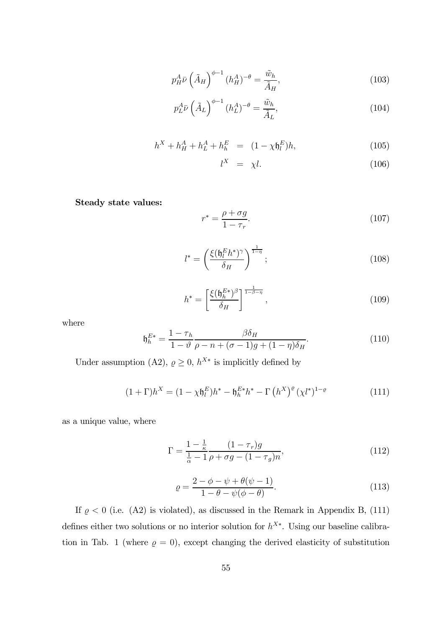$$
p_H^A \bar{\nu} \left(\tilde{A}_H\right)^{\phi-1} (h_H^A)^{-\theta} = \frac{\tilde{w}_h}{\tilde{A}_H},\tag{103}
$$

$$
p_L^A \bar{\nu} \left(\tilde{A}_L\right)^{\phi-1} (h_L^A)^{-\theta} = \frac{\tilde{w}_h}{\tilde{A}_L},\tag{104}
$$

$$
h^X + h^A_H + h^A_L + h^E_h = (1 - \chi \mathfrak{h}^E_l)h, \tag{105}
$$

$$
l^X = \chi l. \tag{106}
$$

Steady state values:

$$
r^* = \frac{\rho + \sigma g}{1 - \tau_r}.\tag{107}
$$

$$
l^* = \left(\frac{\xi(\mathfrak{h}_l^E h^*)^{\gamma}}{\delta_H}\right)^{\frac{1}{1-\eta}};
$$
\n(108)

$$
h^* = \left[\frac{\xi(\mathfrak{h}_h^{E*})^\beta}{\delta_H}\right]^{\frac{1}{1-\beta-\eta}},\tag{109}
$$

where

$$
\mathfrak{h}_h^{E*} = \frac{1 - \tau_h}{1 - \vartheta} \frac{\beta \delta_H}{\rho - n + (\sigma - 1)g + (1 - \eta)\delta_H}.
$$
\n(110)

Under assumption (A2),  $\rho \geq 0$ ,  $h^{X*}$  is implicitly defined by

$$
(1+\Gamma)h^X = (1-\chi \mathfrak{h}_l^E)h^* - \mathfrak{h}_h^{E^*}h^* - \Gamma\left(h^X\right)^{\varrho}(\chi l^*)^{1-\varrho}
$$
\n(111)

as a unique value, where

$$
\Gamma = \frac{1 - \frac{1}{\kappa}}{\frac{1}{\alpha} - 1} \frac{(1 - \tau_r)g}{\rho + \sigma g - (1 - \tau_g)n},
$$
\n(112)

$$
\varrho = \frac{2 - \phi - \psi + \theta(\psi - 1)}{1 - \theta - \psi(\phi - \theta)}.
$$
\n(113)

If  $\rho < 0$  (i.e. (A2) is violated), as discussed in the Remark in Appendix B, (111) defines either two solutions or no interior solution for  $h^{X*}$ . Using our baseline calibration in Tab. 1 (where  $\rho = 0$ ), except changing the derived elasticity of substitution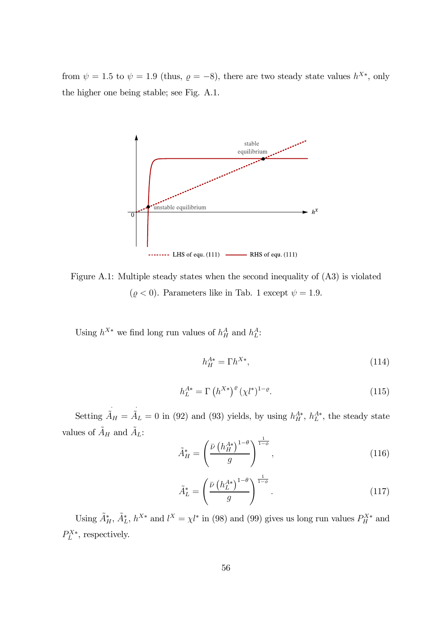from  $\psi = 1.5$  to  $\psi = 1.9$  (thus,  $\rho = -8$ ), there are two steady state values  $h^{X*}$ , only the higher one being stable; see Fig. A.1.

![](_page_56_Figure_1.jpeg)

Figure A.1: Multiple steady states when the second inequality of (A3) is violated  $(\varrho < 0).$  Parameters like in Tab. 1 except  $\psi = 1.9.$ 

Using  $h^{X*}$  we find long run values of  $h^A_H$  and  $h^A_L$ :

$$
h_H^{A*} = \Gamma h^{X*},\tag{114}
$$

$$
h_L^{A*} = \Gamma\left(h^{X*}\right)^{\varrho} (\chi l^*)^{1-\varrho}.\tag{115}
$$

Setting  $\tilde{A}_H = \tilde{A}_L = 0$  in (92) and (93) yields, by using  $h_H^{A*}$ ,  $h_L^{A*}$ , the steady state values of  $\tilde{A}_H$  and  $\tilde{A}_L$ :

$$
\tilde{A}^*_{H} = \left(\frac{\bar{\nu} \left(h_H^{A*}\right)^{1-\theta}}{g}\right)^{\frac{1}{1-\phi}},\tag{116}
$$

$$
\tilde{A}_L^* = \left(\frac{\bar{\nu} \left(h_L^{A*}\right)^{1-\theta}}{g}\right)^{\frac{1}{1-\phi}}.\tag{117}
$$

Using  $\tilde{A}_{H}^{*}$ ,  $\tilde{A}_{L}^{*}$ ,  $h^{X*}$  and  $l^{X} = \chi l^{*}$  in (98) and (99) gives us long run values  $P_{H}^{X*}$  and  $P_L^{X*}$ , respectively.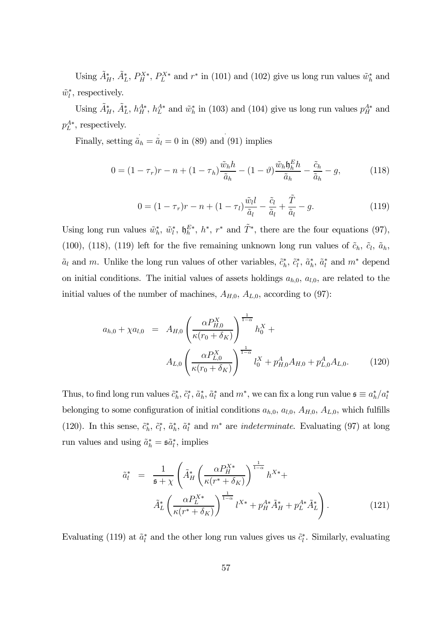Using  $\tilde{A}_{H}^*, \tilde{A}_{L}^*, P_{H}^{X*}, P_{L}^{X*}$  and  $r^*$  in (101) and (102) give us long run values  $\tilde{w}_h^*$  and  $\tilde{w}_l^*$ , respectively.

Using  $\tilde{A}_{H}^*, \tilde{A}_{L}^*, h_H^{A*}, h_L^{A*}$  and  $\tilde{w}_h^*$  in (103) and (104) give us long run values  $p_H^{A*}$  and  $p_L^{A*}$ , respectively.

Finally, setting  $\tilde{a}_h = \tilde{a}_l = 0$  in (89) and (91) implies

$$
0 = (1 - \tau_r)r - n + (1 - \tau_h)\frac{\tilde{w}_h h}{\tilde{a}_h} - (1 - \vartheta)\frac{\tilde{w}_h \mathfrak{h}_h^E h}{\tilde{a}_h} - \frac{\tilde{c}_h}{\tilde{a}_h} - g,\tag{118}
$$

$$
0 = (1 - \tau_r)r - n + (1 - \tau_l)\frac{\tilde{w}_l l}{\tilde{a}_l} - \frac{\tilde{c}_l}{\tilde{a}_l} + \frac{\tilde{T}}{\tilde{a}_l} - g.
$$
 (119)

Using long run values  $\tilde{w}_h^*, \tilde{w}_l^*, \tilde{b}_h^{E*}, h^*, r^*$  and  $\tilde{T}^*$ , there are the four equations (97), (100), (118), (119) left for the five remaining unknown long run values of  $\tilde{c}_h$ ,  $\tilde{c}_l$ ,  $\tilde{a}_h$ ,  $\tilde{a}_l$  and  $m$ . Unlike the long run values of other variables,  $\tilde{c}_h^*, \tilde{c}_l^*, \tilde{a}_h^*, \tilde{a}_l^*$  and  $m^*$  depend on initial conditions. The initial values of assets holdings  $a_{h,0}$ ,  $a_{l,0}$ , are related to the initial values of the number of machines,  $A_{H,0}$ ,  $A_{L,0}$ , according to (97):

$$
a_{h,0} + \chi a_{l,0} = A_{H,0} \left( \frac{\alpha P_{H,0}^X}{\kappa (r_0 + \delta_K)} \right)^{\frac{1}{1-\alpha}} h_0^X +
$$
  

$$
A_{L,0} \left( \frac{\alpha P_{L,0}^X}{\kappa (r_0 + \delta_K)} \right)^{\frac{1}{1-\alpha}} l_0^X + p_{H,0}^A A_{H,0} + p_{L,0}^A A_{L,0}. \tag{120}
$$

Thus, to find long run values  $\tilde{c}_h^*, \tilde{c}_l^*, \tilde{a}_h^*, \tilde{a}_l^*$  and  $m^*$ , we can fix a long run value  $\mathfrak{s} \equiv a_h^*/a_l^*$ belonging to some configuration of initial conditions  $a_{h,0}$ ,  $a_{l,0}$ ,  $A_{H,0}$ ,  $A_{L,0}$ , which fulfills (120). In this sense,  $\tilde{c}_h^*, \tilde{c}_l^*, \tilde{a}_h^*, \tilde{a}_l^*$  and  $m^*$  are *indeterminate*. Evaluating (97) at long run values and using  $\tilde{a}_h^* = \tilde{\mathfrak{so}}_l^*$ , implies

$$
\tilde{a}_{l}^{*} = \frac{1}{\mathfrak{s} + \chi} \left( \tilde{A}_{H}^{*} \left( \frac{\alpha P_{H}^{X*}}{\kappa (r^{*} + \delta_{K})} \right)^{\frac{1}{1 - \alpha}} h^{X*} + \tilde{A}_{L}^{*} \left( \frac{\alpha P_{L}^{X*}}{\kappa (r^{*} + \delta_{K})} \right)^{\frac{1}{1 - \alpha}} l^{X*} + p_{H}^{A*} \tilde{A}_{H}^{*} + p_{L}^{A*} \tilde{A}_{L}^{*} \right).
$$
\n(121)

Evaluating (119) at  $\tilde{a}_l^*$  and the other long run values gives us  $\tilde{c}_l^*$ . Similarly, evaluating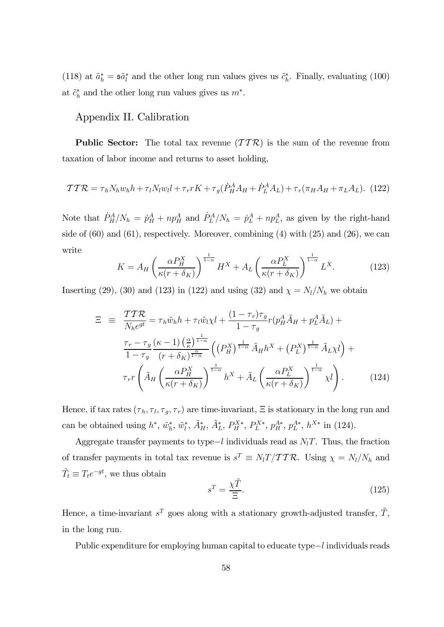(118) at  $\tilde{a}_h^* = \tilde{a}_l^*$  and the other long run values gives us  $\tilde{c}_h^*$ . Finally, evaluating (100) at  $\tilde{c}_h^*$  and the other long run values gives us  $m^*$ .

### Appendix II. Calibration

**Public Sector:** The total tax revenue  $(TTR)$  is the sum of the revenue from taxation of labor income and returns to asset holding,

$$
\mathcal{TTR} = \tau_h N_h w_h h + \tau_l N_l w_l l + \tau_r r K + \tau_g (\dot{P}_H^A A_H + \dot{P}_L^A A_L) + \tau_r (\pi_H A_H + \pi_L A_L). \tag{122}
$$

Note that  $\dot{P}_H^A/N_h = \dot{p}_H^A + np_H^A$  and  $\dot{P}_L^A/N_h = \dot{p}_L^A + np_L^A$ , as given by the right-hand side of  $(60)$  and  $(61)$ , respectively. Moreover, combining  $(4)$  with  $(25)$  and  $(26)$ , we can write

$$
K = A_H \left(\frac{\alpha P_H^X}{\kappa (r + \delta_K)}\right)^{\frac{1}{1-\alpha}} H^X + A_L \left(\frac{\alpha P_L^X}{\kappa (r + \delta_K)}\right)^{\frac{1}{1-\alpha}} L^X. \tag{123}
$$

Inserting (29), (30) and (123) in (122) and using (32) and  $\chi = N_l/N_h$  we obtain

$$
\Xi \equiv \frac{TT\mathcal{R}}{N_h e^{gt}} = \tau_h \tilde{w}_h h + \tau_l \tilde{w}_l \chi l + \frac{(1 - \tau_r)\tau_g}{1 - \tau_g} r (p_H^A \tilde{A}_H + p_L^A \tilde{A}_L) +
$$
  

$$
\frac{\tau_r - \tau_g}{1 - \tau_g} \frac{(\kappa - 1) \left(\frac{\alpha}{\kappa}\right)^{\frac{1}{1 - \alpha}}}{(r + \delta_K)^{\frac{\alpha}{1 - \alpha}}} \left( \left(P_H^X\right)^{\frac{1}{1 - \alpha}} \tilde{A}_H h^X + \left(P_L^X\right)^{\frac{1}{1 - \alpha}} \tilde{A}_L \chi l \right) +
$$
  

$$
\tau_r r \left( \tilde{A}_H \left( \frac{\alpha P_H^X}{\kappa (r + \delta_K)} \right)^{\frac{1}{1 - \alpha}} h^X + \tilde{A}_L \left( \frac{\alpha P_L^X}{\kappa (r + \delta_K)} \right)^{\frac{1}{1 - \alpha}} \chi l \right). \tag{124}
$$

Hence, if tax rates  $(\tau_h, \tau_l, \tau_g, \tau_r)$  are time-invariant,  $\Xi$  is stationary in the long run and can be obtained using  $h^*, \tilde{w}_h^*, \tilde{w}_l^*, \tilde{A}_H^*, \tilde{A}_L^*, P_H^{X*}, P_L^{X*}, p_H^{A*}, p_L^{A*}, h^{X*}$  in (124).

Aggregate transfer payments to type−l individuals read as  $N_lT$ . Thus, the fraction of transfer payments in total tax revenue is  $s^T \equiv N_l T / T T R$ . Using  $\chi = N_l / N_h$  and  $\tilde{T}_t \equiv T_t e^{-gt}$ , we thus obtain

$$
s^T = \frac{\chi \tilde{T}}{\Xi}.
$$
\n(125)

Hence, a time-invariant  $s^T$  goes along with a stationary growth-adjusted transfer,  $\tilde{T}$ , in the long run.

Public expenditure for employing human capital to educate type−l individuals reads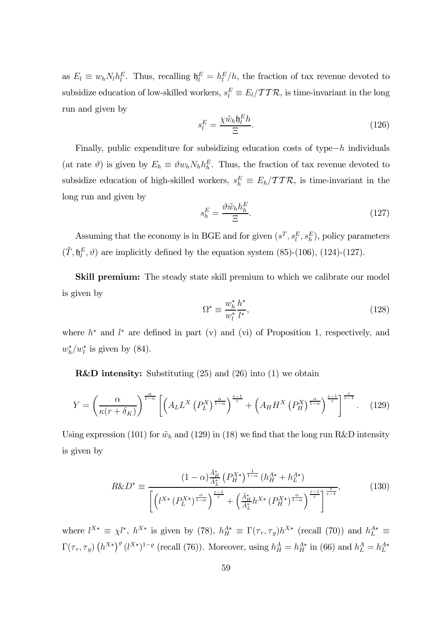as  $E_l \equiv w_h N_l h_l^E$ . Thus, recalling  $\mathfrak{h}_l^E = h_l^E/h$ , the fraction of tax revenue devoted to subsidize education of low-skilled workers,  $s_l^E \equiv E_l / \mathcal{TTR}$ , is time-invariant in the long run and given by

$$
s_l^E = \frac{\chi \tilde{w}_h \mathfrak{h}_l^E h}{\Xi}.
$$
\n(126)

Finally, public expenditure for subsidizing education costs of type $-h$  individuals (at rate  $\vartheta$ ) is given by  $E_h \equiv \vartheta w_h N_h h_h^E$ . Thus, the fraction of tax revenue devoted to subsidize education of high-skilled workers,  $s_h^E \equiv E_h / \mathcal{TTR}$ , is time-invariant in the long run and given by

$$
s_h^E = \frac{\vartheta \tilde{w}_h h_h^E}{\Xi}.
$$
\n(127)

Assuming that the economy is in BGE and for given  $(s^T, s^E_l, s^E_h)$ , policy parameters  $(\tilde{T}, \mathfrak{h}_l^E, \vartheta)$  are implicitly defined by the equation system (85)-(106), (124)-(127).

Skill premium: The steady state skill premium to which we calibrate our model is given by

$$
\Omega^* \equiv \frac{w_h^*}{w_l^*} \frac{h^*}{l^*},\tag{128}
$$

where  $h^*$  and  $l^*$  are defined in part (v) and (vi) of Proposition 1, respectively, and  $w_h^*/w_l^*$  is given by (84).

R&D intensity: Substituting (25) and (26) into (1) we obtain

$$
Y = \left(\frac{\alpha}{\kappa(r+\delta_K)}\right)^{\frac{\alpha}{1-\alpha}} \left[ \left(A_L L^X \left(P_L^X\right)^{\frac{\alpha}{1-\alpha}}\right)^{\frac{\varepsilon-1}{\varepsilon}} + \left(A_H H^X \left(P_H^X\right)^{\frac{\alpha}{1-\alpha}}\right)^{\frac{\varepsilon-1}{\varepsilon}} \right]^{\frac{\varepsilon}{\varepsilon-1}}. \quad (129)
$$

Using expression (101) for  $\tilde{w}_h$  and (129) in (18) we find that the long run R&D intensity is given by

$$
R\&D^* \equiv \frac{\left(1-\alpha\right)^{\frac{\tilde{A}_H^*}{\tilde{A}_L^*}} \left(P_H^{X*}\right)^{\frac{1}{1-\alpha}} \left(h_H^{A*} + h_L^{A*}\right)}{\left[\left(l^{X*}\left(P_L^{X*}\right)^{\frac{\alpha}{1-\alpha}}\right)^{\frac{\varepsilon-1}{\varepsilon}} + \left(\frac{\tilde{A}_H^*}{\tilde{A}_L^*}h^{X*}\left(P_H^{X*}\right)^{\frac{\alpha}{1-\alpha}}\right)^{\frac{\varepsilon-1}{\varepsilon}}\right]^{\frac{\varepsilon}{\varepsilon-1}}},\tag{130}
$$

where  $l^{X*} \equiv \chi l^*$ ,  $h^{X*}$  is given by (78),  $h_H^{A*} \equiv \Gamma(\tau_r, \tau_g) h^{X*}$  (recall (70)) and  $h_L^{A*} \equiv$  $\Gamma(\tau_r, \tau_g)$   $(h^{X*})^{\varrho} (l^{X*})^{1-\varrho}$  (recall (76)). Moreover, using  $h^A_H = h^{A*}_H$  in (66) and  $h^A_L = h^{A*}_L$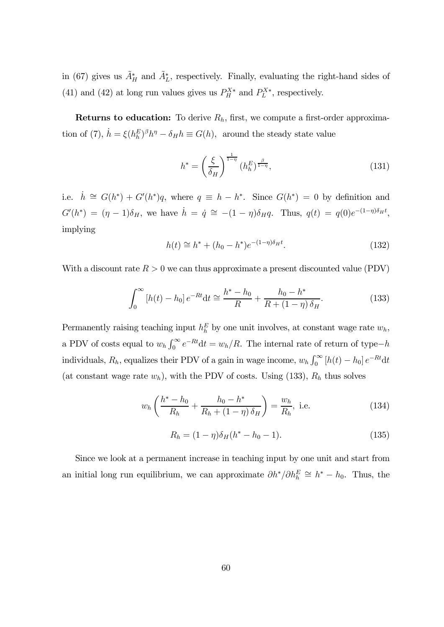in (67) gives us  $\tilde{A}^*_H$  and  $\tilde{A}^*_L$ , respectively. Finally, evaluating the right-hand sides of (41) and (42) at long run values gives us  $P_H^{X*}$  and  $P_L^{X*}$ , respectively.

Returns to education: To derive  $R_h$ , first, we compute a first-order approximation of (7),  $\dot{h} = \xi (h_h^E)^{\beta} h^{\eta} - \delta_H h \equiv G(h)$ , around the steady state value

$$
h^* = \left(\frac{\xi}{\delta_H}\right)^{\frac{1}{1-\eta}} (h_h^E)^{\frac{\beta}{1-\eta}},\tag{131}
$$

i.e.  $\dot{h} \cong G(h^*) + G'(h^*)q$ , where  $q \equiv h - h^*$ . Since  $G(h^*) = 0$  by definition and  $G'(h^*) = (\eta - 1)\delta_H$ , we have  $\dot{h} = \dot{q} \approx -(1 - \eta)\delta_H q$ . Thus,  $q(t) = q(0)e^{-(1 - \eta)\delta_H t}$ , implying

$$
h(t) \cong h^* + (h_0 - h^*)e^{-(1-\eta)\delta_H t}.
$$
\n(132)

With a discount rate  $R > 0$  we can thus approximate a present discounted value (PDV)

$$
\int_0^\infty \left[ h(t) - h_0 \right] e^{-Rt} dt \cong \frac{h^* - h_0}{R} + \frac{h_0 - h^*}{R + (1 - \eta) \,\delta_H}.
$$
\n(133)

Permanently raising teaching input  $h_h^E$  by one unit involves, at constant wage rate  $w_h$ , a PDV of costs equal to  $w_h \int_0^\infty e^{-Rt} dt = w_h / R$ . The internal rate of return of type- $h$ individuals,  $R_h$ , equalizes their PDV of a gain in wage income,  $w_h \int_0^\infty [h(t) - h_0] e^{-Rt} dt$ (at constant wage rate  $w_h$ ), with the PDV of costs. Using (133),  $R_h$  thus solves

$$
w_h\left(\frac{h^* - h_0}{R_h} + \frac{h_0 - h^*}{R_h + (1 - \eta)\,\delta_H}\right) = \frac{w_h}{R_h}, \text{ i.e.}
$$
 (134)

$$
R_h = (1 - \eta)\delta_H (h^* - h_0 - 1). \tag{135}
$$

Since we look at a permanent increase in teaching input by one unit and start from an initial long run equilibrium, we can approximate  $\partial h^*/\partial h_h^E \cong h^* - h_0$ . Thus, the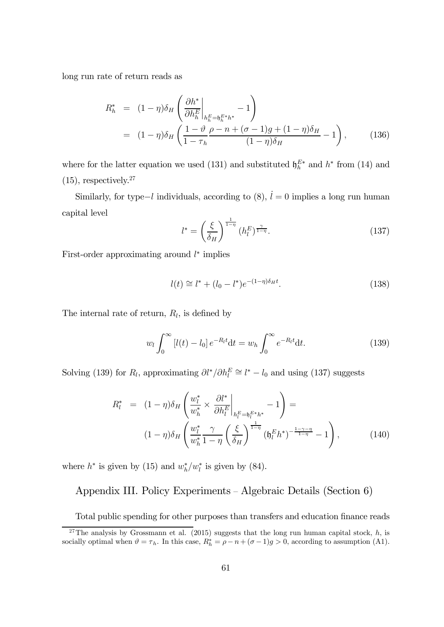long run rate of return reads as

$$
R_h^* = (1 - \eta) \delta_H \left( \frac{\partial h^*}{\partial h_h^E} \Big|_{h_h^E = h_h^{E*h}} - 1 \right)
$$
  
=  $(1 - \eta) \delta_H \left( \frac{1 - \vartheta}{1 - \tau_h} \frac{\rho - n + (\sigma - 1)g + (1 - \eta)\delta_H}{(1 - \eta)\delta_H} - 1 \right),$  (136)

where for the latter equation we used (131) and substituted  $\mathfrak{h}_h^{E*}$  and  $h^*$  from (14) and  $(15)$ , respectively.<sup>27</sup>

Similarly, for type–l individuals, according to  $(8)$ ,  $\dot{l} = 0$  implies a long run human capital level

$$
l^* = \left(\frac{\xi}{\delta_H}\right)^{\frac{1}{1-\eta}} (h_l^E)^{\frac{\gamma}{1-\eta}}.
$$
 (137)

First-order approximating around  $l^*$  implies

$$
l(t) \cong l^* + (l_0 - l^*)e^{-(1-\eta)\delta_H t}.
$$
\n(138)

The internal rate of return,  $R_l$ , is defined by

$$
w_l \int_0^\infty [l(t) - l_0] e^{-R_l t} dt = w_h \int_0^\infty e^{-R_l t} dt.
$$
 (139)

Solving (139) for  $R_l$ , approximating  $\partial l^* / \partial h_l^E \cong l^* - l_0$  and using (137) suggests

$$
R_l^* = (1 - \eta)\delta_H \left( \frac{w_l^*}{w_h^*} \times \frac{\partial l^*}{\partial h_l^E} \Big|_{h_l^E = h_l^{E*} h^*} - 1 \right) =
$$
  

$$
(1 - \eta)\delta_H \left( \frac{w_l^*}{w_h^*} \frac{\gamma}{1 - \eta} \left( \frac{\xi}{\delta_H} \right)^{\frac{1}{1 - \eta}} (h_l^E h^*)^{-\frac{1 - \gamma - \eta}{1 - \eta}} - 1 \right),
$$
 (140)

where  $h^*$  is given by (15) and  $w_h^*/w_l^*$  is given by (84).

### Appendix III. Policy Experiments — Algebraic Details (Section 6)

Total public spending for other purposes than transfers and education finance reads

<sup>&</sup>lt;sup>27</sup>The analysis by Grossmann et al. (2015) suggests that the long run human capital stock,  $h$ , is socially optimal when  $\vartheta = \tau_h$ . In this case,  $R_h^* = \rho - n + (\sigma - 1)g > 0$ , according to assumption (A1).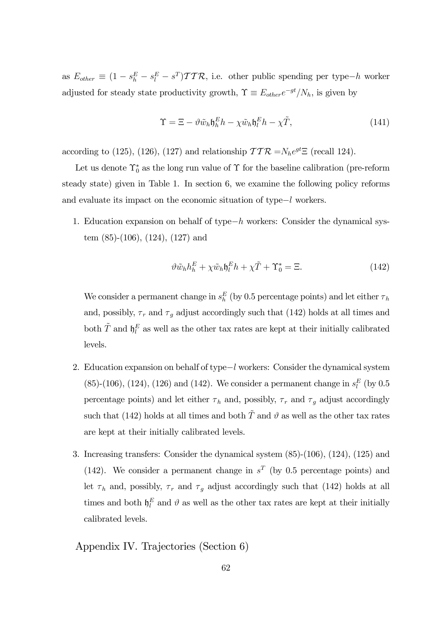as  $E_{other} \equiv (1 - s_h^E - s_l^F - s^T) \mathcal{T} \mathcal{T} \mathcal{R}$ , i.e. other public spending per type-h worker adjusted for steady state productivity growth,  $\Upsilon \equiv E_{other}e^{-gt}/N_h$ , is given by

$$
\Upsilon = \Xi - \vartheta \tilde{w}_h \mathfrak{h}_h^E h - \chi \tilde{w}_h \mathfrak{h}_l^E h - \chi \tilde{T}, \qquad (141)
$$

according to (125), (126), (127) and relationship  $TTR = N_h e^{gt} \equiv$  (recall 124).

Let us denote  $\Upsilon_0^*$  as the long run value of  $\Upsilon$  for the baseline calibration (pre-reform steady state) given in Table 1. In section 6, we examine the following policy reforms and evaluate its impact on the economic situation of type−l workers.

1. Education expansion on behalf of type− workers: Consider the dynamical system (85)-(106), (124), (127) and

$$
\vartheta \tilde{w}_h h_h^E + \chi \tilde{w}_h \mathfrak{h}_l^E h + \chi \tilde{T} + \Upsilon_0^* = \Xi.
$$
 (142)

We consider a permanent change in  $s_h^E$  (by 0.5 percentage points) and let either  $\tau_h$ and, possibly,  $\tau_r$  and  $\tau_g$  adjust accordingly such that (142) holds at all times and both  $\tilde{T}$  and  $\mathfrak{h}_l^E$  as well as the other tax rates are kept at their initially calibrated levels.

- 2. Education expansion on behalf of type−l workers: Consider the dynamical system (85)-(106), (124), (126) and (142). We consider a permanent change in  $s_l^E$  (by 0.5 percentage points) and let either  $\tau_h$  and, possibly,  $\tau_r$  and  $\tau_g$  adjust accordingly such that (142) holds at all times and both  $\tilde{T}$  and  $\vartheta$  as well as the other tax rates are kept at their initially calibrated levels.
- 3. Increasing transfers: Consider the dynamical system (85)-(106), (124), (125) and (142). We consider a permanent change in  $s<sup>T</sup>$  (by 0.5 percentage points) and let  $\tau_h$  and, possibly,  $\tau_r$  and  $\tau_g$  adjust accordingly such that (142) holds at all times and both  $\mathfrak{h}_l^E$  and  $\vartheta$  as well as the other tax rates are kept at their initially calibrated levels.

Appendix IV. Trajectories (Section 6)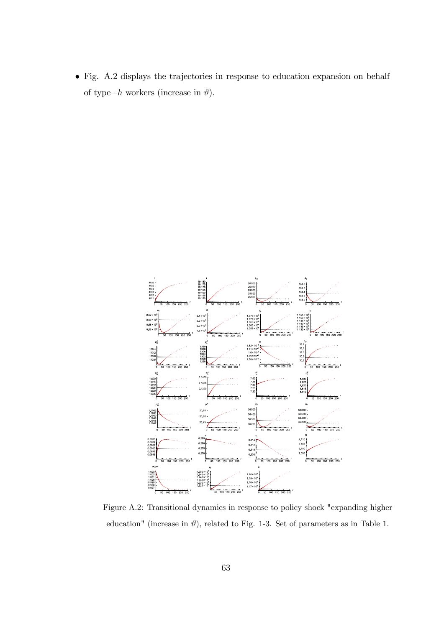• Fig. A.2 displays the trajectories in response to education expansion on behalf of type−h workers (increase in  $\vartheta$ ).

![](_page_63_Figure_1.jpeg)

Figure A.2: Transitional dynamics in response to policy shock "expanding higher education" (increase in  $\vartheta$ ), related to Fig. 1-3. Set of parameters as in Table 1.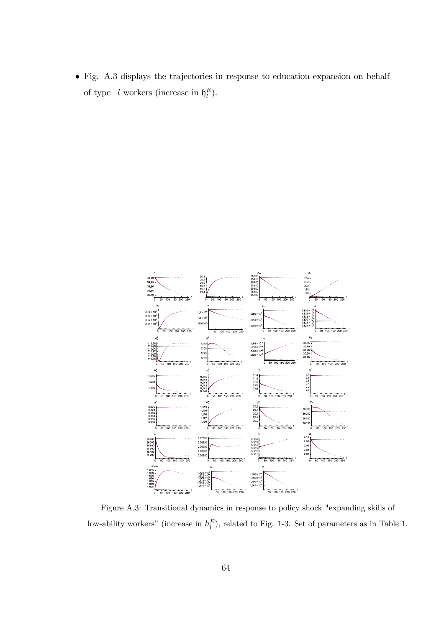• Fig. A.3 displays the trajectories in response to education expansion on behalf of type-l workers (increase in  $\mathfrak{h}_l^E$ ).

![](_page_64_Figure_1.jpeg)

Figure A.3: Transitional dynamics in response to policy shock "expanding skills of low-ability workers" (increase in  $h_l^E$ ), related to Fig. 1-3. Set of parameters as in Table 1.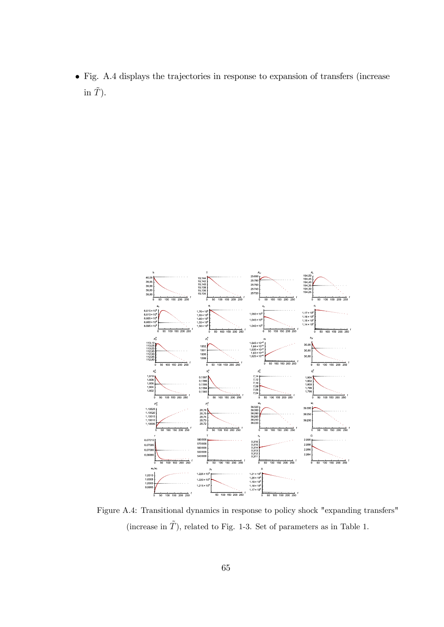• Fig. A.4 displays the trajectories in response to expansion of transfers (increase in  $\tilde{T}$ ).

![](_page_65_Figure_1.jpeg)

Figure A.4: Transitional dynamics in response to policy shock "expanding transfers" (increase in  $\tilde{T}$ ), related to Fig. 1-3. Set of parameters as in Table 1.